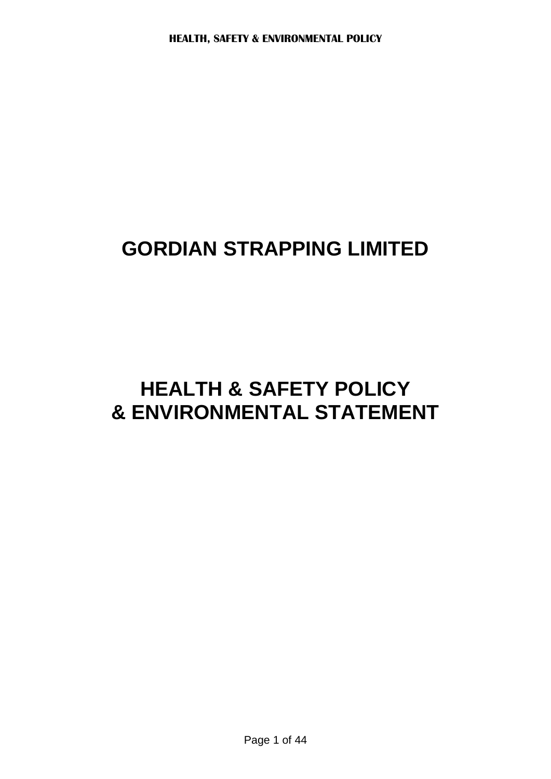# **GORDIAN STRAPPING LIMITED**

# **HEALTH & SAFETY POLICY & ENVIRONMENTAL STATEMENT**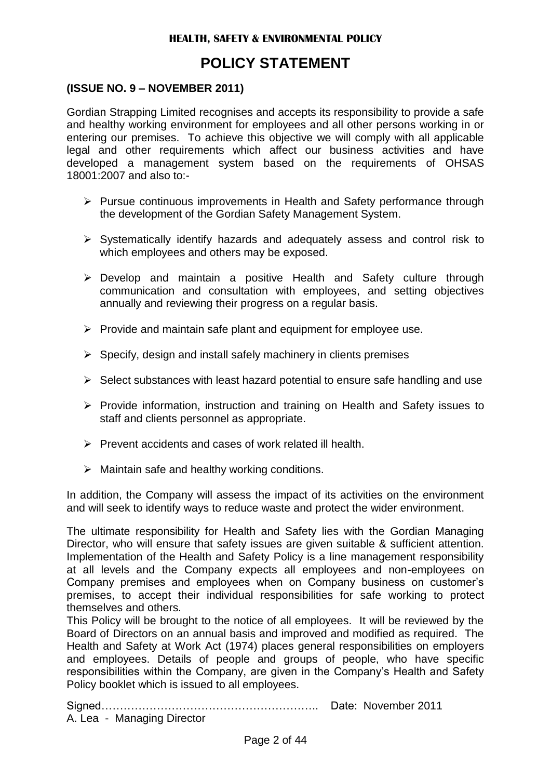# **POLICY STATEMENT**

#### **(ISSUE NO. 9 – NOVEMBER 2011)**

Gordian Strapping Limited recognises and accepts its responsibility to provide a safe and healthy working environment for employees and all other persons working in or entering our premises. To achieve this objective we will comply with all applicable legal and other requirements which affect our business activities and have developed a management system based on the requirements of OHSAS 18001:2007 and also to:-

- $\triangleright$  Pursue continuous improvements in Health and Safety performance through the development of the Gordian Safety Management System.
- $\triangleright$  Systematically identify hazards and adequately assess and control risk to which employees and others may be exposed.
- Develop and maintain a positive Health and Safety culture through communication and consultation with employees, and setting objectives annually and reviewing their progress on a regular basis.
- $\triangleright$  Provide and maintain safe plant and equipment for employee use.
- $\triangleright$  Specify, design and install safely machinery in clients premises
- $\triangleright$  Select substances with least hazard potential to ensure safe handling and use
- $\triangleright$  Provide information, instruction and training on Health and Safety issues to staff and clients personnel as appropriate.
- $\triangleright$  Prevent accidents and cases of work related ill health.
- $\triangleright$  Maintain safe and healthy working conditions.

In addition, the Company will assess the impact of its activities on the environment and will seek to identify ways to reduce waste and protect the wider environment.

The ultimate responsibility for Health and Safety lies with the Gordian Managing Director, who will ensure that safety issues are given suitable & sufficient attention. Implementation of the Health and Safety Policy is a line management responsibility at all levels and the Company expects all employees and non-employees on Company premises and employees when on Company business on customer's premises, to accept their individual responsibilities for safe working to protect themselves and others.

This Policy will be brought to the notice of all employees. It will be reviewed by the Board of Directors on an annual basis and improved and modified as required. The Health and Safety at Work Act (1974) places general responsibilities on employers and employees. Details of people and groups of people, who have specific responsibilities within the Company, are given in the Company's Health and Safety Policy booklet which is issued to all employees.

Signed………………………………………………….. Date: November 2011 A. Lea - Managing Director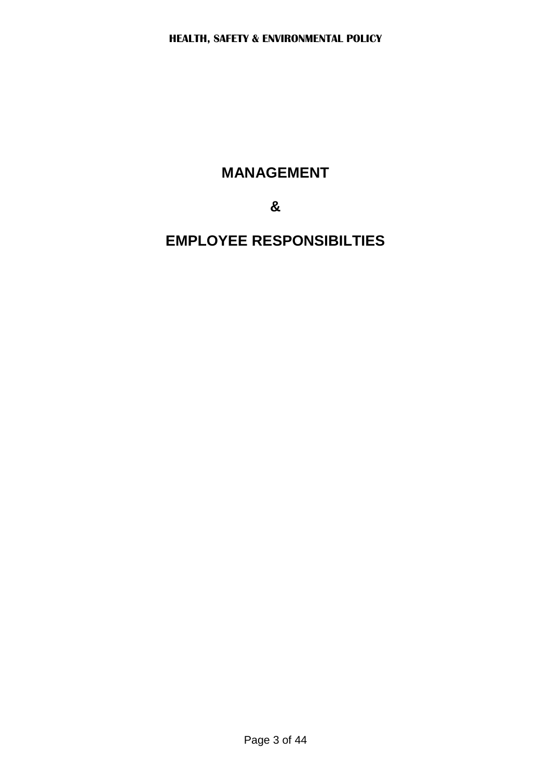# **MANAGEMENT**

**&**

# **EMPLOYEE RESPONSIBILTIES**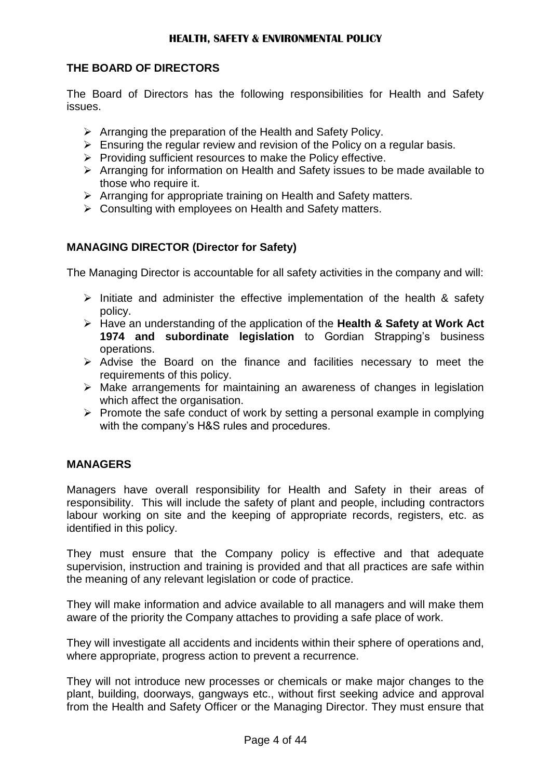# **THE BOARD OF DIRECTORS**

The Board of Directors has the following responsibilities for Health and Safety issues.

- $\triangleright$  Arranging the preparation of the Health and Safety Policy.
- $\triangleright$  Ensuring the regular review and revision of the Policy on a regular basis.
- $\triangleright$  Providing sufficient resources to make the Policy effective.
- $\triangleright$  Arranging for information on Health and Safety issues to be made available to those who require it.
- Arranging for appropriate training on Health and Safety matters.
- $\triangleright$  Consulting with employees on Health and Safety matters.

# **MANAGING DIRECTOR (Director for Safety)**

The Managing Director is accountable for all safety activities in the company and will:

- $\triangleright$  Initiate and administer the effective implementation of the health & safety policy.
- Have an understanding of the application of the **Health & Safety at Work Act 1974 and subordinate legislation** to Gordian Strapping's business operations.
- $\triangleright$  Advise the Board on the finance and facilities necessary to meet the requirements of this policy.
- $\triangleright$  Make arrangements for maintaining an awareness of changes in legislation which affect the organisation.
- $\triangleright$  Promote the safe conduct of work by setting a personal example in complying with the company's H&S rules and procedures.

# **MANAGERS**

Managers have overall responsibility for Health and Safety in their areas of responsibility. This will include the safety of plant and people, including contractors labour working on site and the keeping of appropriate records, registers, etc. as identified in this policy.

They must ensure that the Company policy is effective and that adequate supervision, instruction and training is provided and that all practices are safe within the meaning of any relevant legislation or code of practice.

They will make information and advice available to all managers and will make them aware of the priority the Company attaches to providing a safe place of work.

They will investigate all accidents and incidents within their sphere of operations and, where appropriate, progress action to prevent a recurrence.

They will not introduce new processes or chemicals or make major changes to the plant, building, doorways, gangways etc., without first seeking advice and approval from the Health and Safety Officer or the Managing Director. They must ensure that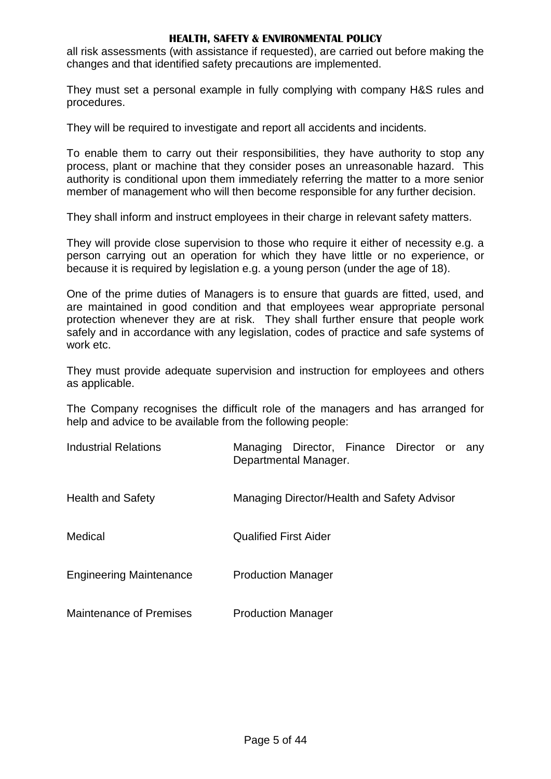all risk assessments (with assistance if requested), are carried out before making the changes and that identified safety precautions are implemented.

They must set a personal example in fully complying with company H&S rules and procedures.

They will be required to investigate and report all accidents and incidents.

To enable them to carry out their responsibilities, they have authority to stop any process, plant or machine that they consider poses an unreasonable hazard. This authority is conditional upon them immediately referring the matter to a more senior member of management who will then become responsible for any further decision.

They shall inform and instruct employees in their charge in relevant safety matters.

They will provide close supervision to those who require it either of necessity e.g. a person carrying out an operation for which they have little or no experience, or because it is required by legislation e.g. a young person (under the age of 18).

One of the prime duties of Managers is to ensure that guards are fitted, used, and are maintained in good condition and that employees wear appropriate personal protection whenever they are at risk. They shall further ensure that people work safely and in accordance with any legislation, codes of practice and safe systems of work etc.

They must provide adequate supervision and instruction for employees and others as applicable.

The Company recognises the difficult role of the managers and has arranged for help and advice to be available from the following people:

| <b>Industrial Relations</b>    | Managing Director, Finance Director or<br>anv<br>Departmental Manager. |
|--------------------------------|------------------------------------------------------------------------|
| <b>Health and Safety</b>       | Managing Director/Health and Safety Advisor                            |
| Medical                        | <b>Qualified First Aider</b>                                           |
| <b>Engineering Maintenance</b> | <b>Production Manager</b>                                              |
| <b>Maintenance of Premises</b> | <b>Production Manager</b>                                              |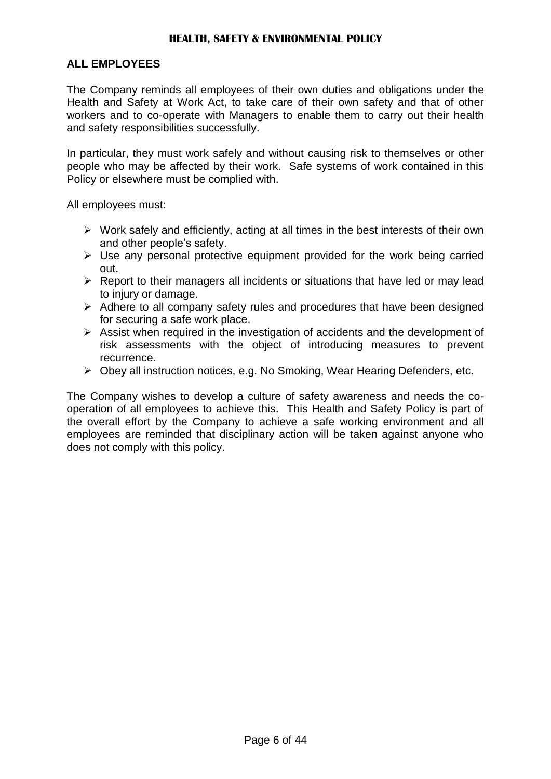#### **ALL EMPLOYEES**

The Company reminds all employees of their own duties and obligations under the Health and Safety at Work Act, to take care of their own safety and that of other workers and to co-operate with Managers to enable them to carry out their health and safety responsibilities successfully.

In particular, they must work safely and without causing risk to themselves or other people who may be affected by their work. Safe systems of work contained in this Policy or elsewhere must be complied with.

All employees must:

- $\triangleright$  Work safely and efficiently, acting at all times in the best interests of their own and other people's safety.
- $\triangleright$  Use any personal protective equipment provided for the work being carried out.
- $\triangleright$  Report to their managers all incidents or situations that have led or may lead to injury or damage.
- $\triangleright$  Adhere to all company safety rules and procedures that have been designed for securing a safe work place.
- $\triangleright$  Assist when required in the investigation of accidents and the development of risk assessments with the object of introducing measures to prevent recurrence.
- Obey all instruction notices, e.g. No Smoking, Wear Hearing Defenders, etc.

The Company wishes to develop a culture of safety awareness and needs the cooperation of all employees to achieve this. This Health and Safety Policy is part of the overall effort by the Company to achieve a safe working environment and all employees are reminded that disciplinary action will be taken against anyone who does not comply with this policy.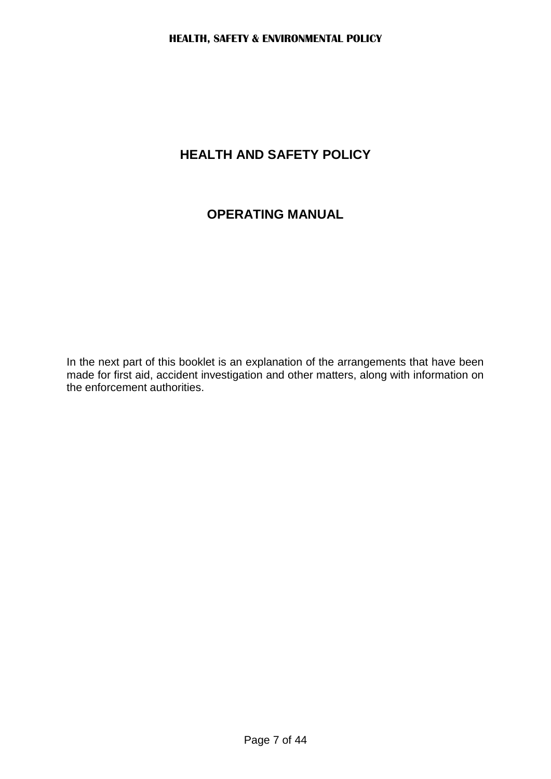# **HEALTH AND SAFETY POLICY**

# **OPERATING MANUAL**

In the next part of this booklet is an explanation of the arrangements that have been made for first aid, accident investigation and other matters, along with information on the enforcement authorities.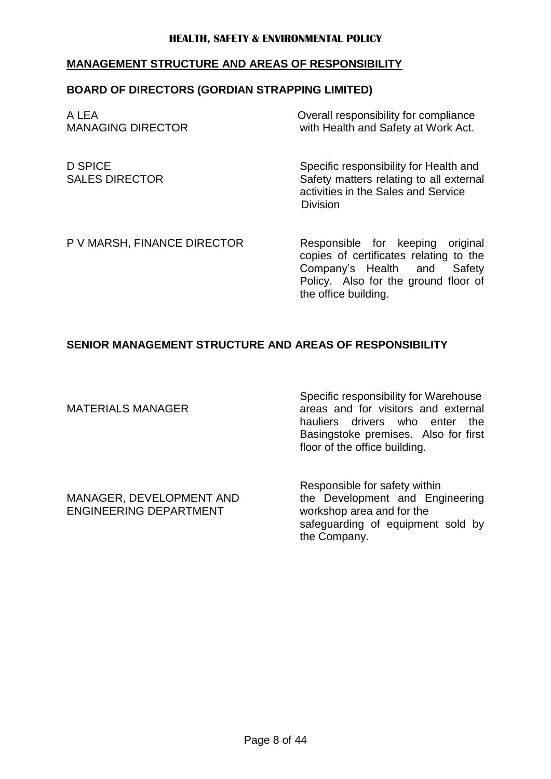#### **MANAGEMENT STRUCTURE AND AREAS OF RESPONSIBILITY**

## **BOARD OF DIRECTORS (GORDIAN STRAPPING LIMITED)**

| A LEA<br><b>MANAGING DIRECTOR</b>       | Overall responsibility for compliance<br>with Health and Safety at Work Act.                                                                |
|-----------------------------------------|---------------------------------------------------------------------------------------------------------------------------------------------|
| <b>D SPICE</b><br><b>SALES DIRECTOR</b> | Specific responsibility for Health and<br>Safety matters relating to all external<br>activities in the Sales and Service<br><b>Division</b> |
|                                         |                                                                                                                                             |

P V MARSH, FINANCE DIRECTOR Responsible for keeping original copies of certificates relating to the Company's Health and Safety Policy. Also for the ground floor of the office building.

### **SENIOR MANAGEMENT STRUCTURE AND AREAS OF RESPONSIBILITY**

| <b>MATERIALS MANAGER</b>                                  | Specific responsibility for Warehouse<br>areas and for visitors and external<br>hauliers drivers who enter<br>the<br>Basingstoke premises. Also for first<br>floor of the office building. |
|-----------------------------------------------------------|--------------------------------------------------------------------------------------------------------------------------------------------------------------------------------------------|
| MANAGER, DEVELOPMENT AND<br><b>ENGINEERING DEPARTMENT</b> | Responsible for safety within<br>the Development and Engineering<br>workshop area and for the<br>safeguarding of equipment sold by                                                         |

the Company.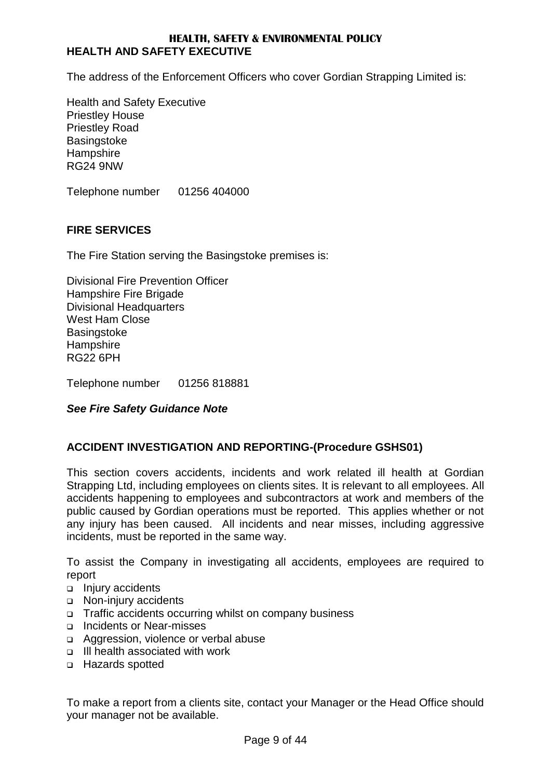#### **HEALTH, SAFETY & ENVIRONMENTAL POLICY HEALTH AND SAFETY EXECUTIVE**

The address of the Enforcement Officers who cover Gordian Strapping Limited is:

Health and Safety Executive Priestley House Priestley Road **Basingstoke Hampshire** RG24 9NW

Telephone number 01256 404000

# **FIRE SERVICES**

The Fire Station serving the Basingstoke premises is:

Divisional Fire Prevention Officer Hampshire Fire Brigade Divisional Headquarters West Ham Close **Basingstoke Hampshire** RG22 6PH

Telephone number 01256 818881

### *See Fire Safety Guidance Note*

### **ACCIDENT INVESTIGATION AND REPORTING-(Procedure GSHS01)**

This section covers accidents, incidents and work related ill health at Gordian Strapping Ltd, including employees on clients sites. It is relevant to all employees. All accidents happening to employees and subcontractors at work and members of the public caused by Gordian operations must be reported. This applies whether or not any injury has been caused. All incidents and near misses, including aggressive incidents, must be reported in the same way.

To assist the Company in investigating all accidents, employees are required to report

- Injury accidents
- □ Non-injury accidents
- □ Traffic accidents occurring whilst on company business
- □ Incidents or Near-misses
- a Aggression, violence or verbal abuse
- Ill health associated with work
- Hazards spotted

To make a report from a clients site, contact your Manager or the Head Office should your manager not be available.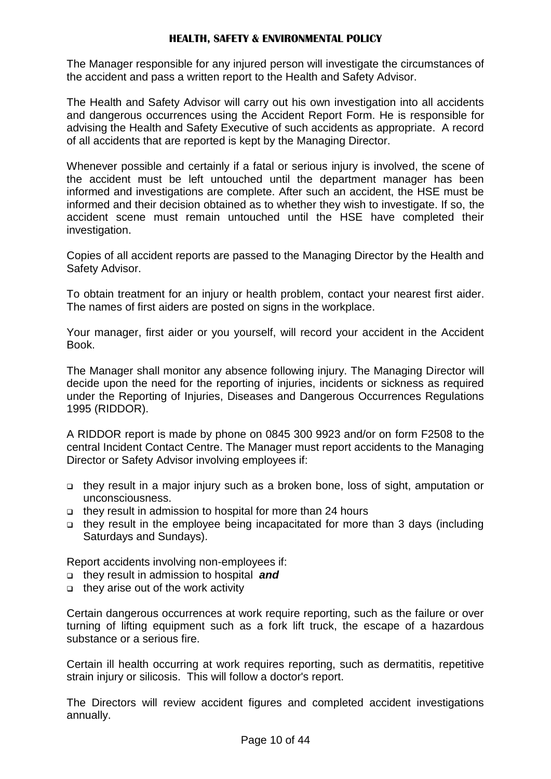The Manager responsible for any injured person will investigate the circumstances of the accident and pass a written report to the Health and Safety Advisor.

The Health and Safety Advisor will carry out his own investigation into all accidents and dangerous occurrences using the Accident Report Form. He is responsible for advising the Health and Safety Executive of such accidents as appropriate. A record of all accidents that are reported is kept by the Managing Director.

Whenever possible and certainly if a fatal or serious injury is involved, the scene of the accident must be left untouched until the department manager has been informed and investigations are complete. After such an accident, the HSE must be informed and their decision obtained as to whether they wish to investigate. If so, the accident scene must remain untouched until the HSE have completed their investigation.

Copies of all accident reports are passed to the Managing Director by the Health and Safety Advisor.

To obtain treatment for an injury or health problem, contact your nearest first aider. The names of first aiders are posted on signs in the workplace.

Your manager, first aider or you yourself, will record your accident in the Accident Book.

The Manager shall monitor any absence following injury. The Managing Director will decide upon the need for the reporting of injuries, incidents or sickness as required under the Reporting of Injuries, Diseases and Dangerous Occurrences Regulations 1995 (RIDDOR).

A RIDDOR report is made by phone on 0845 300 9923 and/or on form F2508 to the central Incident Contact Centre. The Manager must report accidents to the Managing Director or Safety Advisor involving employees if:

- they result in a major injury such as a broken bone, loss of sight, amputation or unconsciousness.
- they result in admission to hospital for more than 24 hours
- $\Box$  they result in the employee being incapacitated for more than 3 days (including Saturdays and Sundays).

Report accidents involving non-employees if:

- they result in admission to hospital *and*
- $\Box$  they arise out of the work activity

Certain dangerous occurrences at work require reporting, such as the failure or over turning of lifting equipment such as a fork lift truck, the escape of a hazardous substance or a serious fire.

Certain ill health occurring at work requires reporting, such as dermatitis, repetitive strain injury or silicosis. This will follow a doctor's report.

The Directors will review accident figures and completed accident investigations annually.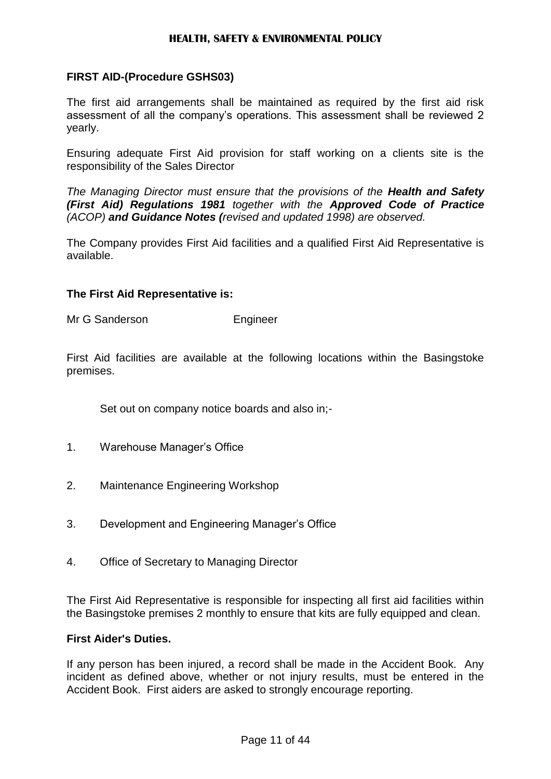# **FIRST AID-(Procedure GSHS03)**

The first aid arrangements shall be maintained as required by the first aid risk assessment of all the company's operations. This assessment shall be reviewed 2 yearly.

Ensuring adequate First Aid provision for staff working on a clients site is the responsibility of the Sales Director

*The Managing Director must ensure that the provisions of the Health and Safety (First Aid) Regulations 1981 together with the Approved Code of Practice (ACOP) and Guidance Notes (revised and updated 1998) are observed.*

The Company provides First Aid facilities and a qualified First Aid Representative is available.

### **The First Aid Representative is:**

Mr G Sanderson Engineer

First Aid facilities are available at the following locations within the Basingstoke premises.

Set out on company notice boards and also in;-

- 1. Warehouse Manager's Office
- 2. Maintenance Engineering Workshop
- 3. Development and Engineering Manager's Office
- 4. Office of Secretary to Managing Director

The First Aid Representative is responsible for inspecting all first aid facilities within the Basingstoke premises 2 monthly to ensure that kits are fully equipped and clean.

#### **First Aider's Duties.**

If any person has been injured, a record shall be made in the Accident Book. Any incident as defined above, whether or not injury results, must be entered in the Accident Book. First aiders are asked to strongly encourage reporting.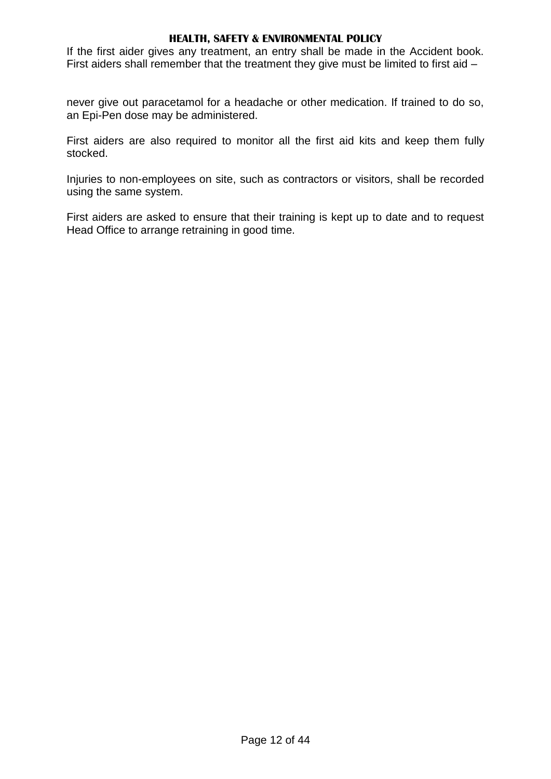If the first aider gives any treatment, an entry shall be made in the Accident book. First aiders shall remember that the treatment they give must be limited to first aid –

never give out paracetamol for a headache or other medication. If trained to do so, an Epi-Pen dose may be administered.

First aiders are also required to monitor all the first aid kits and keep them fully stocked.

Injuries to non-employees on site, such as contractors or visitors, shall be recorded using the same system.

First aiders are asked to ensure that their training is kept up to date and to request Head Office to arrange retraining in good time.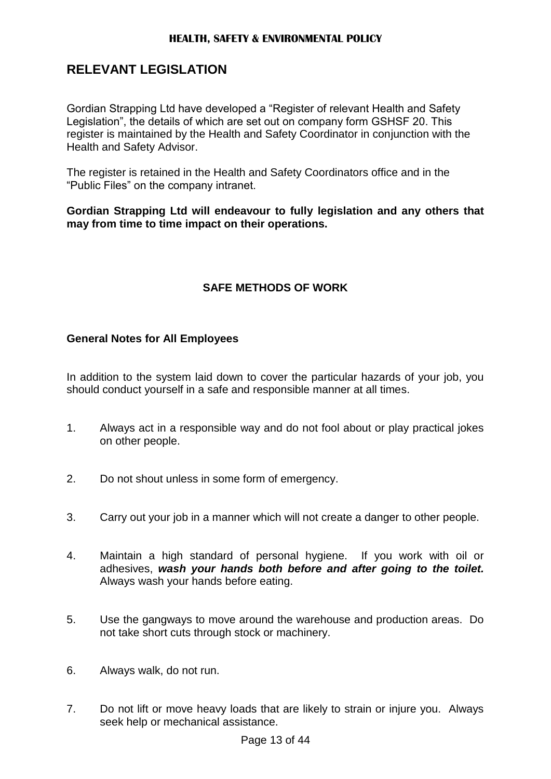# **RELEVANT LEGISLATION**

Gordian Strapping Ltd have developed a "Register of relevant Health and Safety Legislation", the details of which are set out on company form GSHSF 20. This register is maintained by the Health and Safety Coordinator in conjunction with the Health and Safety Advisor.

The register is retained in the Health and Safety Coordinators office and in the "Public Files" on the company intranet.

**Gordian Strapping Ltd will endeavour to fully legislation and any others that may from time to time impact on their operations.** 

# **SAFE METHODS OF WORK**

### **General Notes for All Employees**

In addition to the system laid down to cover the particular hazards of your job, you should conduct yourself in a safe and responsible manner at all times.

- 1. Always act in a responsible way and do not fool about or play practical jokes on other people.
- 2. Do not shout unless in some form of emergency.
- 3. Carry out your job in a manner which will not create a danger to other people.
- 4. Maintain a high standard of personal hygiene. If you work with oil or adhesives, *wash your hands both before and after going to the toilet.* Always wash your hands before eating.
- 5. Use the gangways to move around the warehouse and production areas. Do not take short cuts through stock or machinery.
- 6. Always walk, do not run.
- 7. Do not lift or move heavy loads that are likely to strain or injure you. Always seek help or mechanical assistance.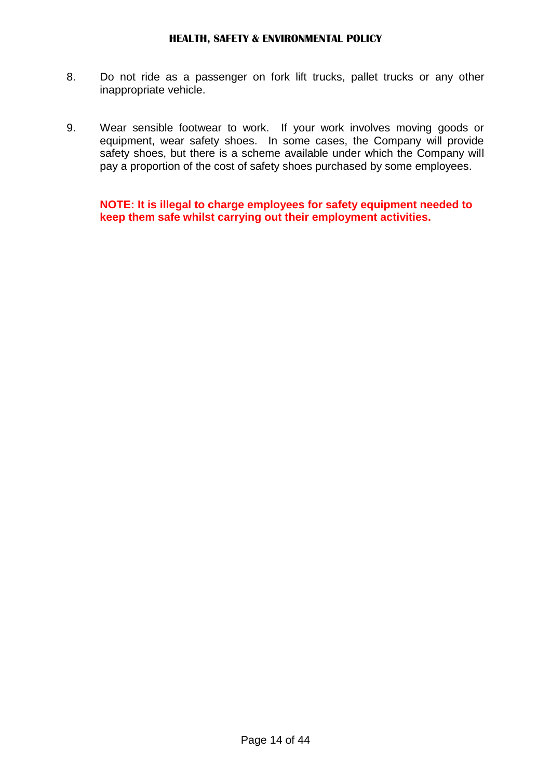- 8. Do not ride as a passenger on fork lift trucks, pallet trucks or any other inappropriate vehicle.
- 9. Wear sensible footwear to work. If your work involves moving goods or equipment, wear safety shoes. In some cases, the Company will provide safety shoes, but there is a scheme available under which the Company will pay a proportion of the cost of safety shoes purchased by some employees.

**NOTE: It is illegal to charge employees for safety equipment needed to keep them safe whilst carrying out their employment activities.**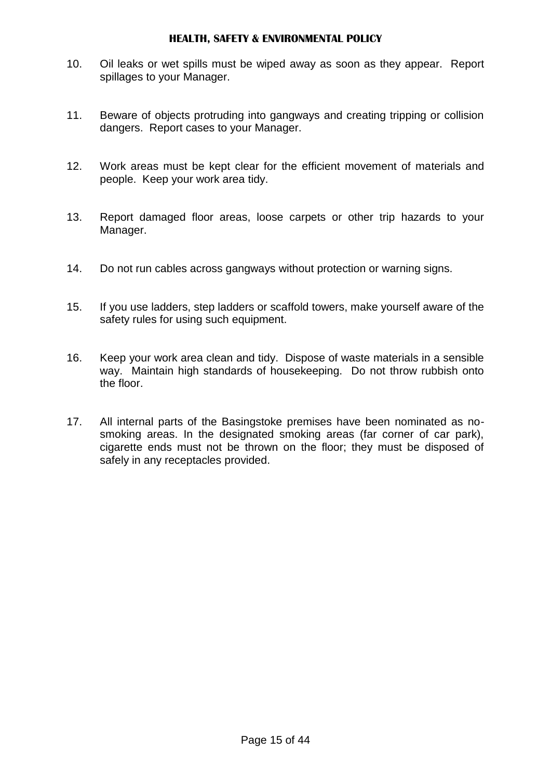- 10. Oil leaks or wet spills must be wiped away as soon as they appear. Report spillages to your Manager.
- 11. Beware of objects protruding into gangways and creating tripping or collision dangers. Report cases to your Manager.
- 12. Work areas must be kept clear for the efficient movement of materials and people. Keep your work area tidy.
- 13. Report damaged floor areas, loose carpets or other trip hazards to your Manager.
- 14. Do not run cables across gangways without protection or warning signs.
- 15. If you use ladders, step ladders or scaffold towers, make yourself aware of the safety rules for using such equipment.
- 16. Keep your work area clean and tidy. Dispose of waste materials in a sensible way. Maintain high standards of housekeeping. Do not throw rubbish onto the floor.
- 17. All internal parts of the Basingstoke premises have been nominated as nosmoking areas. In the designated smoking areas (far corner of car park), cigarette ends must not be thrown on the floor; they must be disposed of safely in any receptacles provided.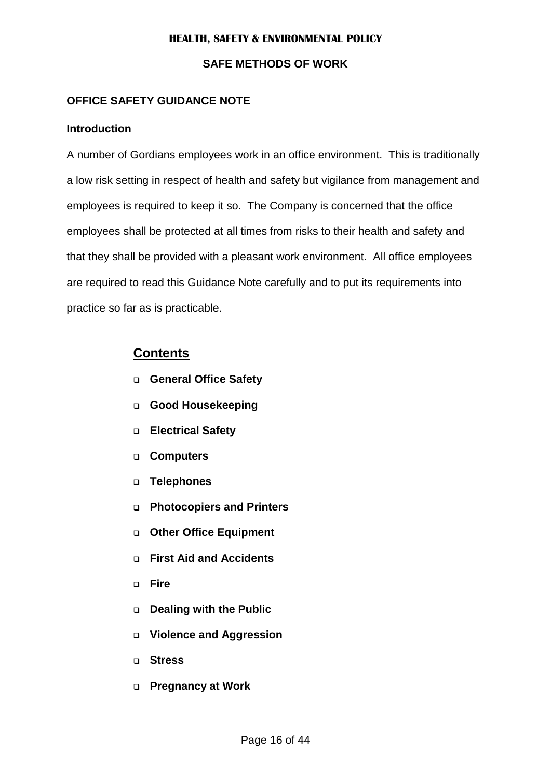#### **SAFE METHODS OF WORK**

### **OFFICE SAFETY GUIDANCE NOTE**

#### **Introduction**

A number of Gordians employees work in an office environment. This is traditionally a low risk setting in respect of health and safety but vigilance from management and employees is required to keep it so. The Company is concerned that the office employees shall be protected at all times from risks to their health and safety and that they shall be provided with a pleasant work environment. All office employees are required to read this Guidance Note carefully and to put its requirements into practice so far as is practicable.

# **Contents**

- **General Office Safety**
- **Good Housekeeping**
- **Electrical Safety**
- **Computers**
- **Telephones**
- **Photocopiers and Printers**
- **Other Office Equipment**
- **First Aid and Accidents**
- **Fire**
- **Dealing with the Public**
- **Violence and Aggression**
- **Stress**
- **Pregnancy at Work**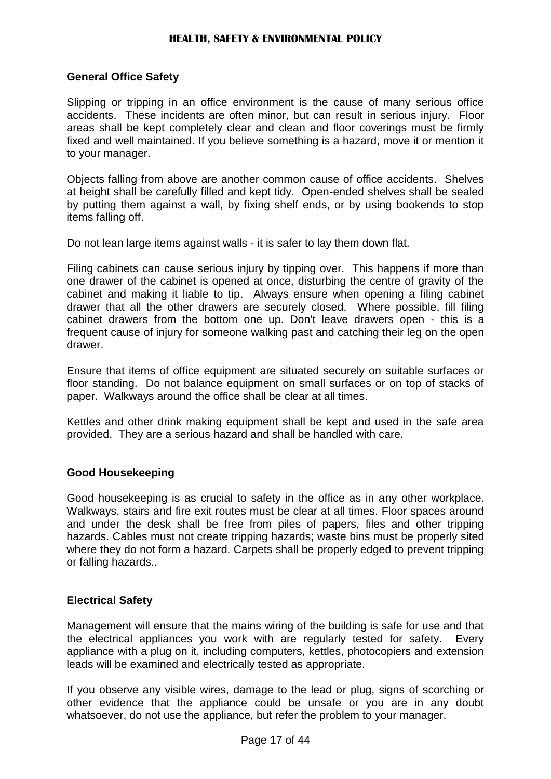#### **General Office Safety**

Slipping or tripping in an office environment is the cause of many serious office accidents. These incidents are often minor, but can result in serious injury. Floor areas shall be kept completely clear and clean and floor coverings must be firmly fixed and well maintained. If you believe something is a hazard, move it or mention it to your manager.

Objects falling from above are another common cause of office accidents. Shelves at height shall be carefully filled and kept tidy. Open-ended shelves shall be sealed by putting them against a wall, by fixing shelf ends, or by using bookends to stop items falling off.

Do not lean large items against walls - it is safer to lay them down flat.

Filing cabinets can cause serious injury by tipping over. This happens if more than one drawer of the cabinet is opened at once, disturbing the centre of gravity of the cabinet and making it liable to tip. Always ensure when opening a filing cabinet drawer that all the other drawers are securely closed. Where possible, fill filing cabinet drawers from the bottom one up. Don't leave drawers open - this is a frequent cause of injury for someone walking past and catching their leg on the open drawer.

Ensure that items of office equipment are situated securely on suitable surfaces or floor standing. Do not balance equipment on small surfaces or on top of stacks of paper. Walkways around the office shall be clear at all times.

Kettles and other drink making equipment shall be kept and used in the safe area provided. They are a serious hazard and shall be handled with care.

### **Good Housekeeping**

Good housekeeping is as crucial to safety in the office as in any other workplace. Walkways, stairs and fire exit routes must be clear at all times. Floor spaces around and under the desk shall be free from piles of papers, files and other tripping hazards. Cables must not create tripping hazards; waste bins must be properly sited where they do not form a hazard. Carpets shall be properly edged to prevent tripping or falling hazards..

### **Electrical Safety**

Management will ensure that the mains wiring of the building is safe for use and that the electrical appliances you work with are regularly tested for safety. Every appliance with a plug on it, including computers, kettles, photocopiers and extension leads will be examined and electrically tested as appropriate.

If you observe any visible wires, damage to the lead or plug, signs of scorching or other evidence that the appliance could be unsafe or you are in any doubt whatsoever, do not use the appliance, but refer the problem to your manager.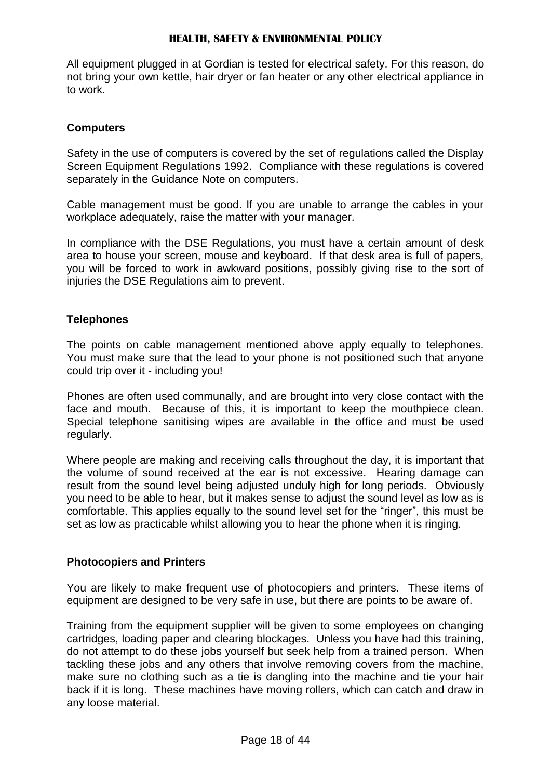All equipment plugged in at Gordian is tested for electrical safety. For this reason, do not bring your own kettle, hair dryer or fan heater or any other electrical appliance in to work.

### **Computers**

Safety in the use of computers is covered by the set of regulations called the Display Screen Equipment Regulations 1992. Compliance with these regulations is covered separately in the Guidance Note on computers.

Cable management must be good. If you are unable to arrange the cables in your workplace adequately, raise the matter with your manager.

In compliance with the DSE Regulations, you must have a certain amount of desk area to house your screen, mouse and keyboard. If that desk area is full of papers, you will be forced to work in awkward positions, possibly giving rise to the sort of injuries the DSE Regulations aim to prevent.

### **Telephones**

The points on cable management mentioned above apply equally to telephones. You must make sure that the lead to your phone is not positioned such that anyone could trip over it - including you!

Phones are often used communally, and are brought into very close contact with the face and mouth. Because of this, it is important to keep the mouthpiece clean. Special telephone sanitising wipes are available in the office and must be used regularly.

Where people are making and receiving calls throughout the day, it is important that the volume of sound received at the ear is not excessive. Hearing damage can result from the sound level being adjusted unduly high for long periods. Obviously you need to be able to hear, but it makes sense to adjust the sound level as low as is comfortable. This applies equally to the sound level set for the "ringer", this must be set as low as practicable whilst allowing you to hear the phone when it is ringing.

#### **Photocopiers and Printers**

You are likely to make frequent use of photocopiers and printers. These items of equipment are designed to be very safe in use, but there are points to be aware of.

Training from the equipment supplier will be given to some employees on changing cartridges, loading paper and clearing blockages. Unless you have had this training, do not attempt to do these jobs yourself but seek help from a trained person. When tackling these jobs and any others that involve removing covers from the machine, make sure no clothing such as a tie is dangling into the machine and tie your hair back if it is long. These machines have moving rollers, which can catch and draw in any loose material.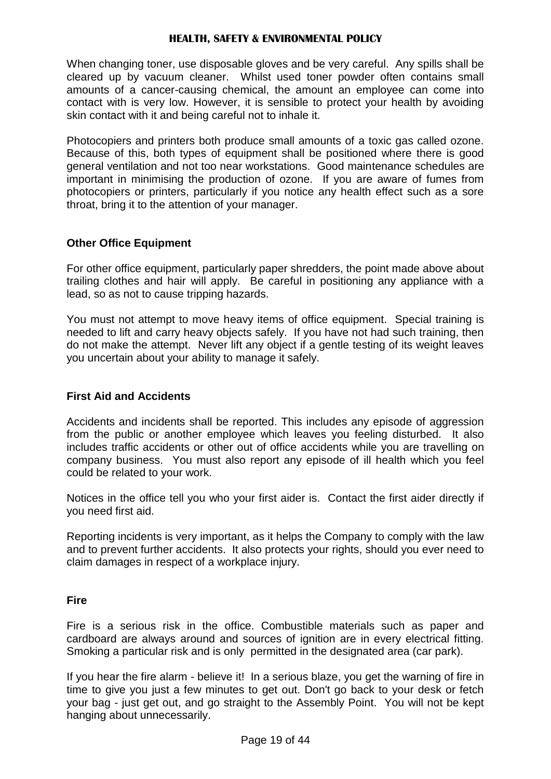When changing toner, use disposable gloves and be very careful. Any spills shall be cleared up by vacuum cleaner. Whilst used toner powder often contains small amounts of a cancer-causing chemical, the amount an employee can come into contact with is very low. However, it is sensible to protect your health by avoiding skin contact with it and being careful not to inhale it.

Photocopiers and printers both produce small amounts of a toxic gas called ozone. Because of this, both types of equipment shall be positioned where there is good general ventilation and not too near workstations. Good maintenance schedules are important in minimising the production of ozone. If you are aware of fumes from photocopiers or printers, particularly if you notice any health effect such as a sore throat, bring it to the attention of your manager.

# **Other Office Equipment**

For other office equipment, particularly paper shredders, the point made above about trailing clothes and hair will apply. Be careful in positioning any appliance with a lead, so as not to cause tripping hazards.

You must not attempt to move heavy items of office equipment. Special training is needed to lift and carry heavy objects safely. If you have not had such training, then do not make the attempt. Never lift any object if a gentle testing of its weight leaves you uncertain about your ability to manage it safely.

# **First Aid and Accidents**

Accidents and incidents shall be reported. This includes any episode of aggression from the public or another employee which leaves you feeling disturbed. It also includes traffic accidents or other out of office accidents while you are travelling on company business. You must also report any episode of ill health which you feel could be related to your work.

Notices in the office tell you who your first aider is. Contact the first aider directly if you need first aid.

Reporting incidents is very important, as it helps the Company to comply with the law and to prevent further accidents. It also protects your rights, should you ever need to claim damages in respect of a workplace injury.

### **Fire**

Fire is a serious risk in the office. Combustible materials such as paper and cardboard are always around and sources of ignition are in every electrical fitting. Smoking a particular risk and is only permitted in the designated area (car park).

If you hear the fire alarm - believe it! In a serious blaze, you get the warning of fire in time to give you just a few minutes to get out. Don't go back to your desk or fetch your bag - just get out, and go straight to the Assembly Point. You will not be kept hanging about unnecessarily.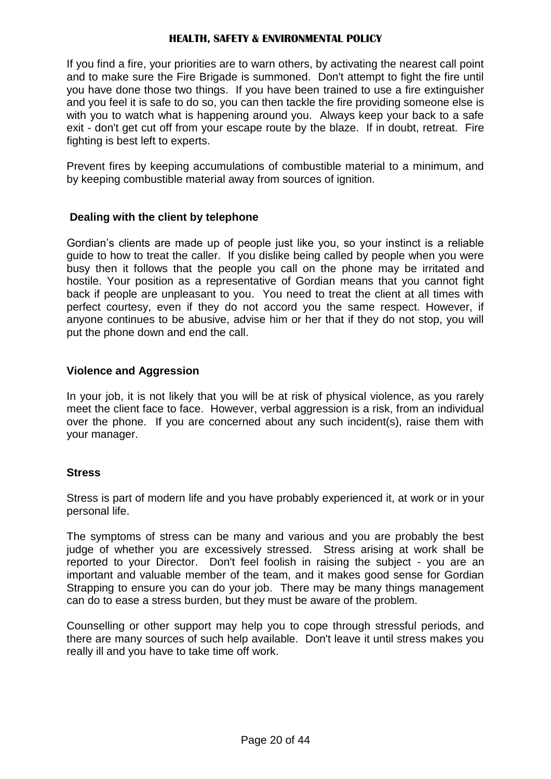If you find a fire, your priorities are to warn others, by activating the nearest call point and to make sure the Fire Brigade is summoned. Don't attempt to fight the fire until you have done those two things. If you have been trained to use a fire extinguisher and you feel it is safe to do so, you can then tackle the fire providing someone else is with you to watch what is happening around you. Always keep your back to a safe exit - don't get cut off from your escape route by the blaze. If in doubt, retreat. Fire fighting is best left to experts.

Prevent fires by keeping accumulations of combustible material to a minimum, and by keeping combustible material away from sources of ignition.

### **Dealing with the client by telephone**

Gordian's clients are made up of people just like you, so your instinct is a reliable guide to how to treat the caller. If you dislike being called by people when you were busy then it follows that the people you call on the phone may be irritated and hostile. Your position as a representative of Gordian means that you cannot fight back if people are unpleasant to you. You need to treat the client at all times with perfect courtesy, even if they do not accord you the same respect. However, if anyone continues to be abusive, advise him or her that if they do not stop, you will put the phone down and end the call.

#### **Violence and Aggression**

In your job, it is not likely that you will be at risk of physical violence, as you rarely meet the client face to face. However, verbal aggression is a risk, from an individual over the phone. If you are concerned about any such incident(s), raise them with your manager.

#### **Stress**

Stress is part of modern life and you have probably experienced it, at work or in your personal life.

The symptoms of stress can be many and various and you are probably the best judge of whether you are excessively stressed. Stress arising at work shall be reported to your Director. Don't feel foolish in raising the subject - you are an important and valuable member of the team, and it makes good sense for Gordian Strapping to ensure you can do your job. There may be many things management can do to ease a stress burden, but they must be aware of the problem.

Counselling or other support may help you to cope through stressful periods, and there are many sources of such help available. Don't leave it until stress makes you really ill and you have to take time off work.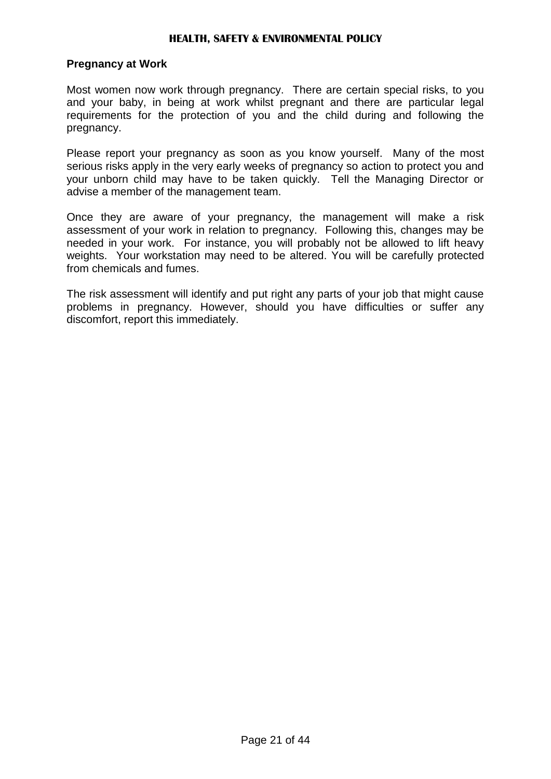#### **Pregnancy at Work**

Most women now work through pregnancy. There are certain special risks, to you and your baby, in being at work whilst pregnant and there are particular legal requirements for the protection of you and the child during and following the pregnancy.

Please report your pregnancy as soon as you know yourself. Many of the most serious risks apply in the very early weeks of pregnancy so action to protect you and your unborn child may have to be taken quickly. Tell the Managing Director or advise a member of the management team.

Once they are aware of your pregnancy, the management will make a risk assessment of your work in relation to pregnancy. Following this, changes may be needed in your work. For instance, you will probably not be allowed to lift heavy weights. Your workstation may need to be altered. You will be carefully protected from chemicals and fumes.

The risk assessment will identify and put right any parts of your job that might cause problems in pregnancy. However, should you have difficulties or suffer any discomfort, report this immediately.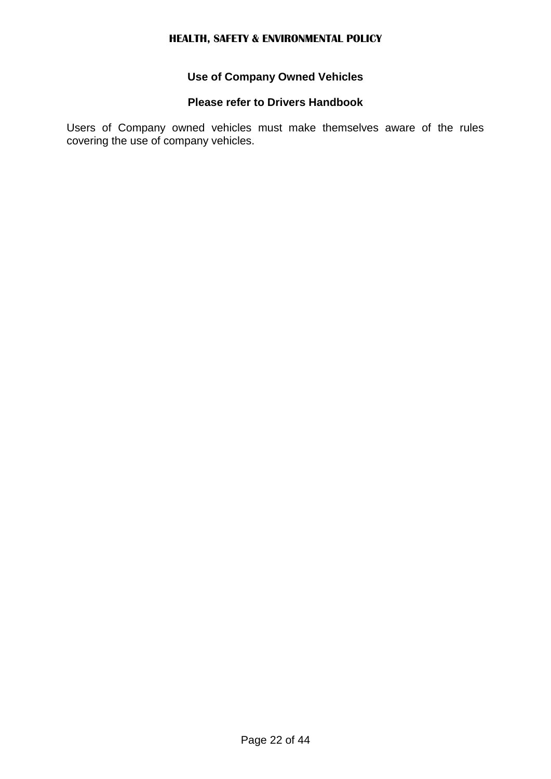# **Use of Company Owned Vehicles**

# **Please refer to Drivers Handbook**

Users of Company owned vehicles must make themselves aware of the rules covering the use of company vehicles.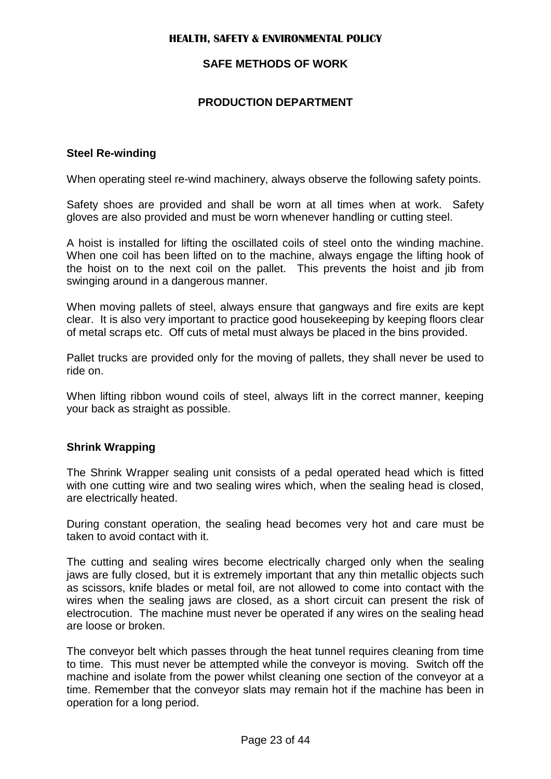# **SAFE METHODS OF WORK**

# **PRODUCTION DEPARTMENT**

#### **Steel Re-winding**

When operating steel re-wind machinery, always observe the following safety points.

Safety shoes are provided and shall be worn at all times when at work. Safety gloves are also provided and must be worn whenever handling or cutting steel.

A hoist is installed for lifting the oscillated coils of steel onto the winding machine. When one coil has been lifted on to the machine, always engage the lifting hook of the hoist on to the next coil on the pallet. This prevents the hoist and jib from swinging around in a dangerous manner.

When moving pallets of steel, always ensure that gangways and fire exits are kept clear. It is also very important to practice good housekeeping by keeping floors clear of metal scraps etc. Off cuts of metal must always be placed in the bins provided.

Pallet trucks are provided only for the moving of pallets, they shall never be used to ride on.

When lifting ribbon wound coils of steel, always lift in the correct manner, keeping your back as straight as possible.

### **Shrink Wrapping**

The Shrink Wrapper sealing unit consists of a pedal operated head which is fitted with one cutting wire and two sealing wires which, when the sealing head is closed, are electrically heated.

During constant operation, the sealing head becomes very hot and care must be taken to avoid contact with it.

The cutting and sealing wires become electrically charged only when the sealing jaws are fully closed, but it is extremely important that any thin metallic objects such as scissors, knife blades or metal foil, are not allowed to come into contact with the wires when the sealing jaws are closed, as a short circuit can present the risk of electrocution. The machine must never be operated if any wires on the sealing head are loose or broken.

The conveyor belt which passes through the heat tunnel requires cleaning from time to time. This must never be attempted while the conveyor is moving. Switch off the machine and isolate from the power whilst cleaning one section of the conveyor at a time. Remember that the conveyor slats may remain hot if the machine has been in operation for a long period.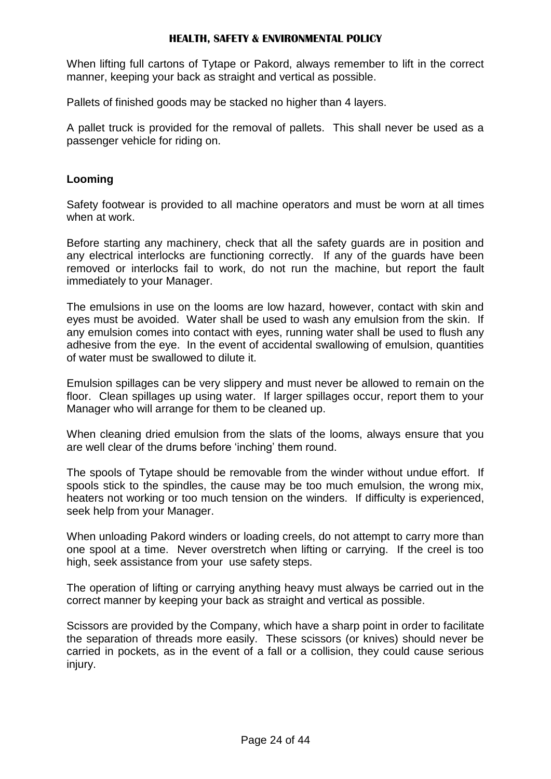When lifting full cartons of Tytape or Pakord, always remember to lift in the correct manner, keeping your back as straight and vertical as possible.

Pallets of finished goods may be stacked no higher than 4 layers.

A pallet truck is provided for the removal of pallets. This shall never be used as a passenger vehicle for riding on.

# **Looming**

Safety footwear is provided to all machine operators and must be worn at all times when at work.

Before starting any machinery, check that all the safety guards are in position and any electrical interlocks are functioning correctly. If any of the guards have been removed or interlocks fail to work, do not run the machine, but report the fault immediately to your Manager.

The emulsions in use on the looms are low hazard, however, contact with skin and eyes must be avoided. Water shall be used to wash any emulsion from the skin. If any emulsion comes into contact with eyes, running water shall be used to flush any adhesive from the eye. In the event of accidental swallowing of emulsion, quantities of water must be swallowed to dilute it.

Emulsion spillages can be very slippery and must never be allowed to remain on the floor. Clean spillages up using water. If larger spillages occur, report them to your Manager who will arrange for them to be cleaned up.

When cleaning dried emulsion from the slats of the looms, always ensure that you are well clear of the drums before 'inching' them round.

The spools of Tytape should be removable from the winder without undue effort. If spools stick to the spindles, the cause may be too much emulsion, the wrong mix, heaters not working or too much tension on the winders. If difficulty is experienced, seek help from your Manager.

When unloading Pakord winders or loading creels, do not attempt to carry more than one spool at a time. Never overstretch when lifting or carrying. If the creel is too high, seek assistance from your use safety steps.

The operation of lifting or carrying anything heavy must always be carried out in the correct manner by keeping your back as straight and vertical as possible.

Scissors are provided by the Company, which have a sharp point in order to facilitate the separation of threads more easily. These scissors (or knives) should never be carried in pockets, as in the event of a fall or a collision, they could cause serious injury.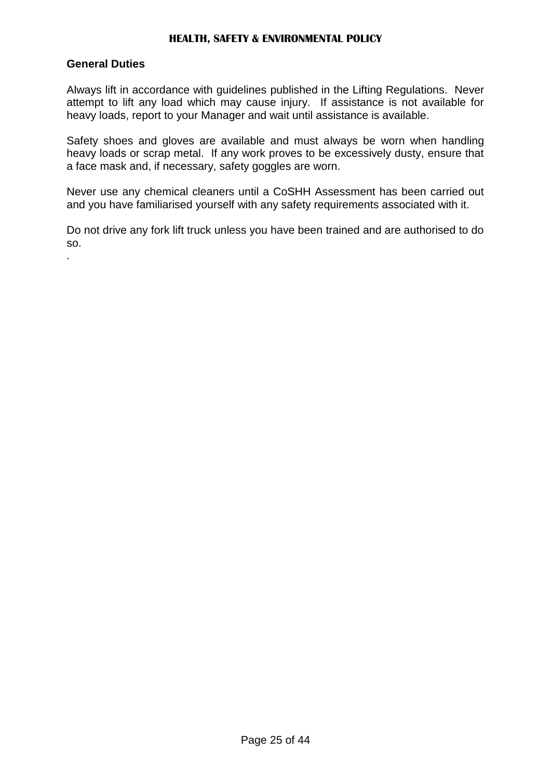#### **General Duties**

.

Always lift in accordance with guidelines published in the Lifting Regulations. Never attempt to lift any load which may cause injury. If assistance is not available for heavy loads, report to your Manager and wait until assistance is available.

Safety shoes and gloves are available and must always be worn when handling heavy loads or scrap metal. If any work proves to be excessively dusty, ensure that a face mask and, if necessary, safety goggles are worn.

Never use any chemical cleaners until a CoSHH Assessment has been carried out and you have familiarised yourself with any safety requirements associated with it.

Do not drive any fork lift truck unless you have been trained and are authorised to do so.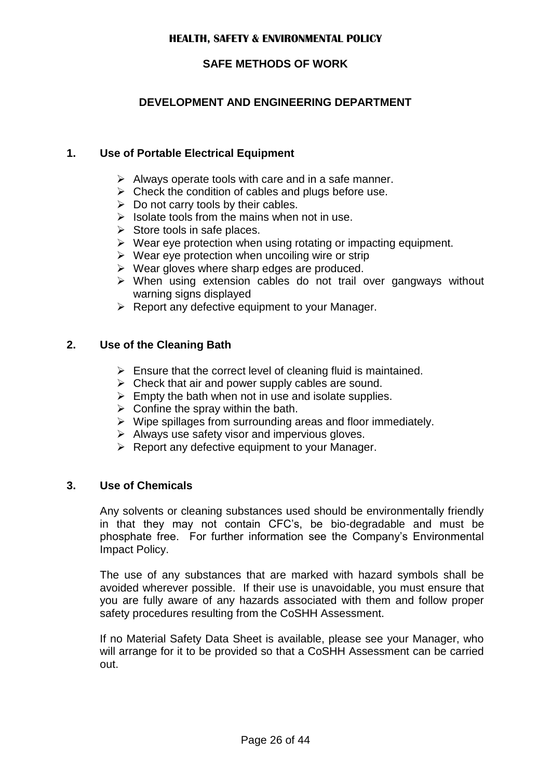# **SAFE METHODS OF WORK**

# **DEVELOPMENT AND ENGINEERING DEPARTMENT**

#### **1. Use of Portable Electrical Equipment**

- $\triangleright$  Always operate tools with care and in a safe manner.
- $\triangleright$  Check the condition of cables and plugs before use.
- $\triangleright$  Do not carry tools by their cables.
- $\triangleright$  Isolate tools from the mains when not in use.
- $\triangleright$  Store tools in safe places.
- $\triangleright$  Wear eye protection when using rotating or impacting equipment.
- $\triangleright$  Wear eye protection when uncoiling wire or strip
- $\triangleright$  Wear gloves where sharp edges are produced.
- $\triangleright$  When using extension cables do not trail over gangways without warning signs displayed
- $\triangleright$  Report any defective equipment to your Manager.

#### **2. Use of the Cleaning Bath**

- $\triangleright$  Ensure that the correct level of cleaning fluid is maintained.
- $\triangleright$  Check that air and power supply cables are sound.
- $\triangleright$  Empty the bath when not in use and isolate supplies.
- $\triangleright$  Confine the spray within the bath.
- $\triangleright$  Wipe spillages from surrounding areas and floor immediately.
- $\triangleright$  Always use safety visor and impervious gloves.
- $\triangleright$  Report any defective equipment to your Manager.

#### **3. Use of Chemicals**

Any solvents or cleaning substances used should be environmentally friendly in that they may not contain CFC's, be bio-degradable and must be phosphate free. For further information see the Company's Environmental Impact Policy.

The use of any substances that are marked with hazard symbols shall be avoided wherever possible. If their use is unavoidable, you must ensure that you are fully aware of any hazards associated with them and follow proper safety procedures resulting from the CoSHH Assessment.

If no Material Safety Data Sheet is available, please see your Manager, who will arrange for it to be provided so that a CoSHH Assessment can be carried out.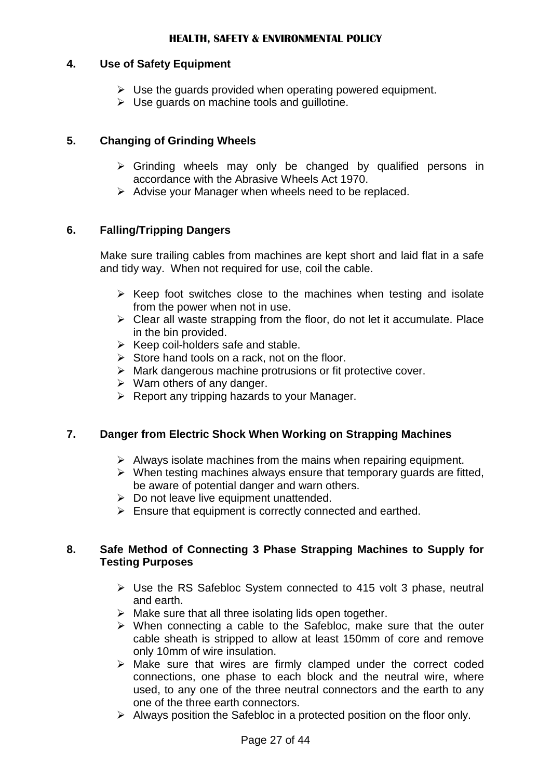#### **4. Use of Safety Equipment**

- $\triangleright$  Use the guards provided when operating powered equipment.
- $\triangleright$  Use guards on machine tools and quillotine.

# **5. Changing of Grinding Wheels**

- $\triangleright$  Grinding wheels may only be changed by qualified persons in accordance with the Abrasive Wheels Act 1970.
- $\triangleright$  Advise your Manager when wheels need to be replaced.

### **6. Falling/Tripping Dangers**

Make sure trailing cables from machines are kept short and laid flat in a safe and tidy way. When not required for use, coil the cable.

- $\triangleright$  Keep foot switches close to the machines when testing and isolate from the power when not in use.
- $\triangleright$  Clear all waste strapping from the floor, do not let it accumulate. Place in the bin provided.
- $\triangleright$  Keep coil-holders safe and stable.
- $\triangleright$  Store hand tools on a rack, not on the floor.
- $\triangleright$  Mark dangerous machine protrusions or fit protective cover.
- $\triangleright$  Warn others of any danger.
- $\triangleright$  Report any tripping hazards to your Manager.

### **7. Danger from Electric Shock When Working on Strapping Machines**

- $\triangleright$  Always isolate machines from the mains when repairing equipment.
- $\triangleright$  When testing machines always ensure that temporary guards are fitted, be aware of potential danger and warn others.
- $\triangleright$  Do not leave live equipment unattended.
- $\triangleright$  Ensure that equipment is correctly connected and earthed.

### **8. Safe Method of Connecting 3 Phase Strapping Machines to Supply for Testing Purposes**

- Use the RS Safebloc System connected to 415 volt 3 phase, neutral and earth.
- $\triangleright$  Make sure that all three isolating lids open together.
- $\triangleright$  When connecting a cable to the Safebloc, make sure that the outer cable sheath is stripped to allow at least 150mm of core and remove only 10mm of wire insulation.
- $\triangleright$  Make sure that wires are firmly clamped under the correct coded connections, one phase to each block and the neutral wire, where used, to any one of the three neutral connectors and the earth to any one of the three earth connectors.
- $\triangleright$  Always position the Safebloc in a protected position on the floor only.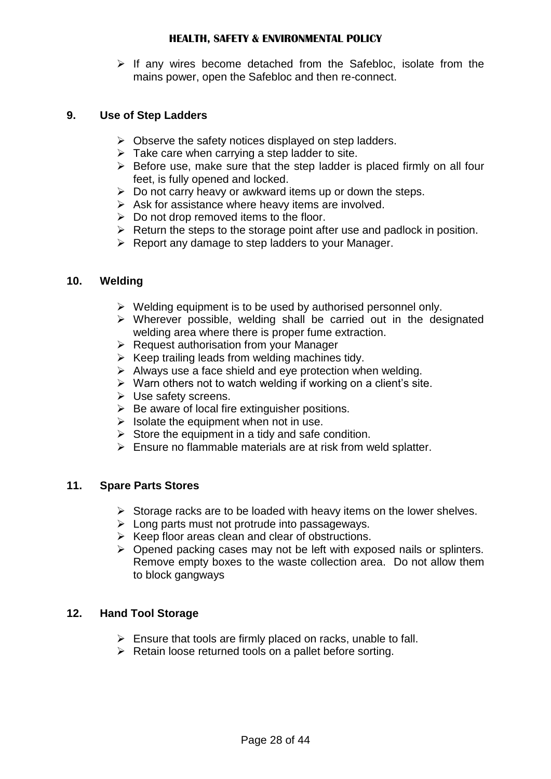$\triangleright$  If any wires become detached from the Safebloc, isolate from the mains power, open the Safebloc and then re-connect.

# **9. Use of Step Ladders**

- $\triangleright$  Observe the safety notices displayed on step ladders.
- $\triangleright$  Take care when carrying a step ladder to site.
- $\triangleright$  Before use, make sure that the step ladder is placed firmly on all four feet, is fully opened and locked.
- $\triangleright$  Do not carry heavy or awkward items up or down the steps.
- $\triangleright$  Ask for assistance where heavy items are involved.
- $\triangleright$  Do not drop removed items to the floor.
- $\triangleright$  Return the steps to the storage point after use and padlock in position.
- $\triangleright$  Report any damage to step ladders to your Manager.

#### **10. Welding**

- $\triangleright$  Welding equipment is to be used by authorised personnel only.
- $\triangleright$  Wherever possible, welding shall be carried out in the designated welding area where there is proper fume extraction.
- $\triangleright$  Request authorisation from your Manager
- $\triangleright$  Keep trailing leads from welding machines tidy.
- $\triangleright$  Always use a face shield and eve protection when welding.
- $\triangleright$  Warn others not to watch welding if working on a client's site.
- Use safety screens.
- $\triangleright$  Be aware of local fire extinguisher positions.
- $\triangleright$  Isolate the equipment when not in use.
- $\triangleright$  Store the equipment in a tidy and safe condition.
- $\triangleright$  Ensure no flammable materials are at risk from weld splatter.

### **11. Spare Parts Stores**

- $\triangleright$  Storage racks are to be loaded with heavy items on the lower shelves.
- $\triangleright$  Long parts must not protrude into passageways.
- $\triangleright$  Keep floor areas clean and clear of obstructions.
- $\triangleright$  Opened packing cases may not be left with exposed nails or splinters. Remove empty boxes to the waste collection area. Do not allow them to block gangways

### **12. Hand Tool Storage**

- $\triangleright$  Ensure that tools are firmly placed on racks, unable to fall.
- $\triangleright$  Retain loose returned tools on a pallet before sorting.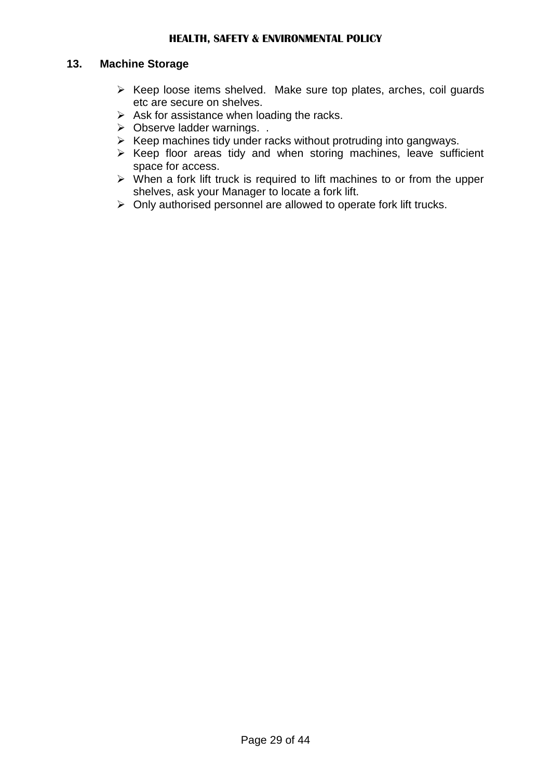#### **13. Machine Storage**

- $\triangleright$  Keep loose items shelved. Make sure top plates, arches, coil guards etc are secure on shelves.
- $\triangleright$  Ask for assistance when loading the racks.
- **▶ Observe ladder warnings...**
- $\triangleright$  Keep machines tidy under racks without protruding into gangways.
- $\triangleright$  Keep floor areas tidy and when storing machines, leave sufficient space for access.
- $\triangleright$  When a fork lift truck is required to lift machines to or from the upper shelves, ask your Manager to locate a fork lift.
- $\triangleright$  Only authorised personnel are allowed to operate fork lift trucks.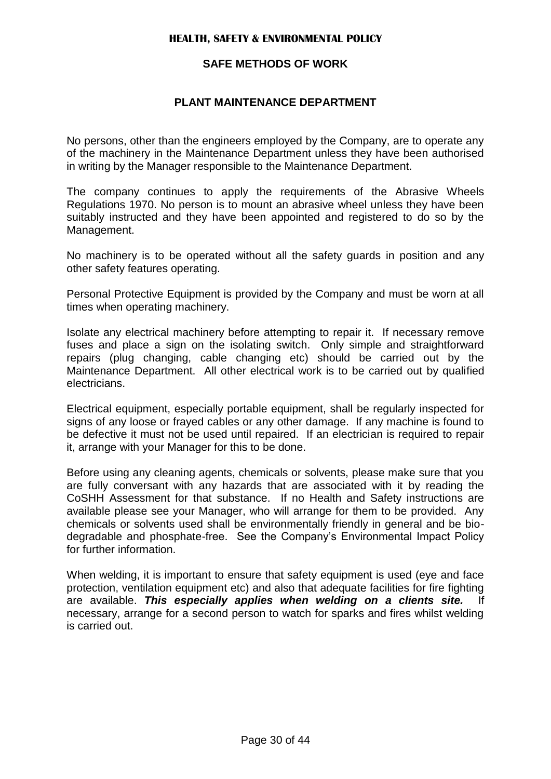### **SAFE METHODS OF WORK**

#### **PLANT MAINTENANCE DEPARTMENT**

No persons, other than the engineers employed by the Company, are to operate any of the machinery in the Maintenance Department unless they have been authorised in writing by the Manager responsible to the Maintenance Department.

The company continues to apply the requirements of the Abrasive Wheels Regulations 1970. No person is to mount an abrasive wheel unless they have been suitably instructed and they have been appointed and registered to do so by the Management.

No machinery is to be operated without all the safety guards in position and any other safety features operating.

Personal Protective Equipment is provided by the Company and must be worn at all times when operating machinery.

Isolate any electrical machinery before attempting to repair it. If necessary remove fuses and place a sign on the isolating switch. Only simple and straightforward repairs (plug changing, cable changing etc) should be carried out by the Maintenance Department. All other electrical work is to be carried out by qualified electricians.

Electrical equipment, especially portable equipment, shall be regularly inspected for signs of any loose or frayed cables or any other damage. If any machine is found to be defective it must not be used until repaired. If an electrician is required to repair it, arrange with your Manager for this to be done.

Before using any cleaning agents, chemicals or solvents, please make sure that you are fully conversant with any hazards that are associated with it by reading the CoSHH Assessment for that substance. If no Health and Safety instructions are available please see your Manager, who will arrange for them to be provided. Any chemicals or solvents used shall be environmentally friendly in general and be biodegradable and phosphate-free. See the Company's Environmental Impact Policy for further information.

When welding, it is important to ensure that safety equipment is used (eye and face protection, ventilation equipment etc) and also that adequate facilities for fire fighting are available. *This especially applies when welding on a clients site.* If necessary, arrange for a second person to watch for sparks and fires whilst welding is carried out.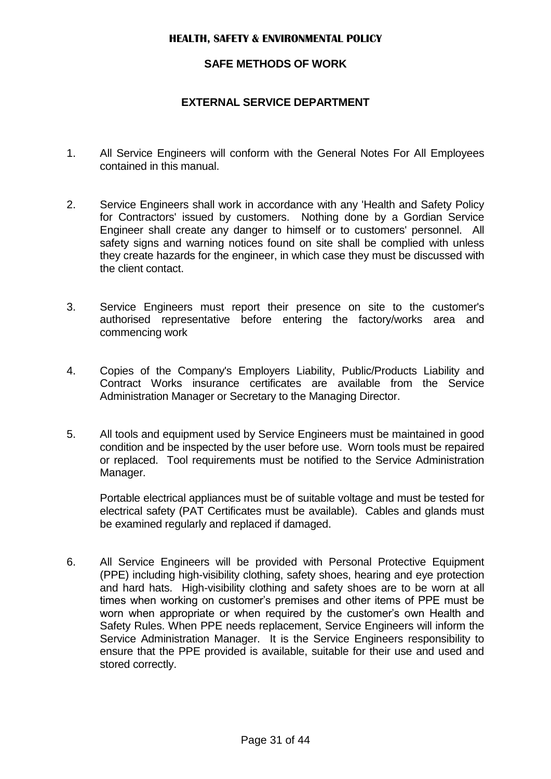### **SAFE METHODS OF WORK**

#### **EXTERNAL SERVICE DEPARTMENT**

- 1. All Service Engineers will conform with the General Notes For All Employees contained in this manual.
- 2. Service Engineers shall work in accordance with any 'Health and Safety Policy for Contractors' issued by customers. Nothing done by a Gordian Service Engineer shall create any danger to himself or to customers' personnel. All safety signs and warning notices found on site shall be complied with unless they create hazards for the engineer, in which case they must be discussed with the client contact.
- 3. Service Engineers must report their presence on site to the customer's authorised representative before entering the factory/works area and commencing work
- 4. Copies of the Company's Employers Liability, Public/Products Liability and Contract Works insurance certificates are available from the Service Administration Manager or Secretary to the Managing Director.
- 5. All tools and equipment used by Service Engineers must be maintained in good condition and be inspected by the user before use. Worn tools must be repaired or replaced. Tool requirements must be notified to the Service Administration Manager.

Portable electrical appliances must be of suitable voltage and must be tested for electrical safety (PAT Certificates must be available). Cables and glands must be examined regularly and replaced if damaged.

6. All Service Engineers will be provided with Personal Protective Equipment (PPE) including high-visibility clothing, safety shoes, hearing and eye protection and hard hats. High-visibility clothing and safety shoes are to be worn at all times when working on customer's premises and other items of PPE must be worn when appropriate or when required by the customer's own Health and Safety Rules. When PPE needs replacement, Service Engineers will inform the Service Administration Manager. It is the Service Engineers responsibility to ensure that the PPE provided is available, suitable for their use and used and stored correctly.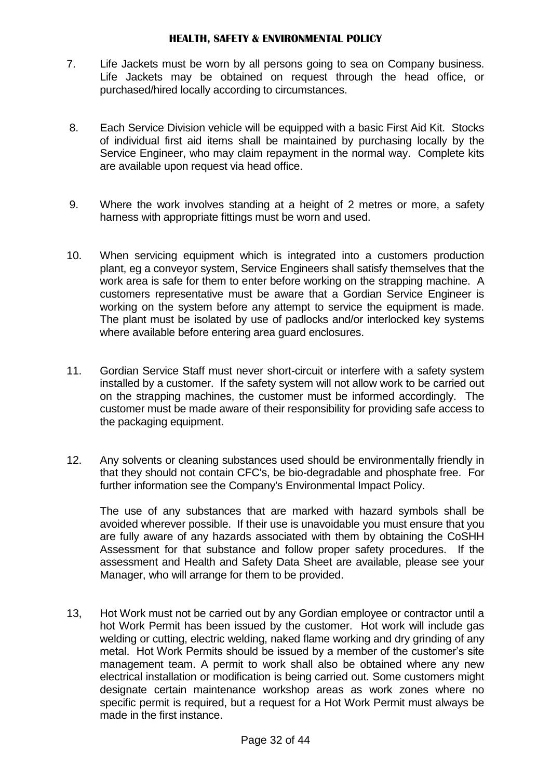- 7. Life Jackets must be worn by all persons going to sea on Company business. Life Jackets may be obtained on request through the head office, or purchased/hired locally according to circumstances.
- 8. Each Service Division vehicle will be equipped with a basic First Aid Kit. Stocks of individual first aid items shall be maintained by purchasing locally by the Service Engineer, who may claim repayment in the normal way. Complete kits are available upon request via head office.
- 9. Where the work involves standing at a height of 2 metres or more, a safety harness with appropriate fittings must be worn and used.
- 10. When servicing equipment which is integrated into a customers production plant, eg a conveyor system, Service Engineers shall satisfy themselves that the work area is safe for them to enter before working on the strapping machine. A customers representative must be aware that a Gordian Service Engineer is working on the system before any attempt to service the equipment is made. The plant must be isolated by use of padlocks and/or interlocked key systems where available before entering area guard enclosures.
- 11. Gordian Service Staff must never short-circuit or interfere with a safety system installed by a customer. If the safety system will not allow work to be carried out on the strapping machines, the customer must be informed accordingly. The customer must be made aware of their responsibility for providing safe access to the packaging equipment.
- 12. Any solvents or cleaning substances used should be environmentally friendly in that they should not contain CFC's, be bio-degradable and phosphate free. For further information see the Company's Environmental Impact Policy.

The use of any substances that are marked with hazard symbols shall be avoided wherever possible. If their use is unavoidable you must ensure that you are fully aware of any hazards associated with them by obtaining the CoSHH Assessment for that substance and follow proper safety procedures. If the assessment and Health and Safety Data Sheet are available, please see your Manager, who will arrange for them to be provided.

13, Hot Work must not be carried out by any Gordian employee or contractor until a hot Work Permit has been issued by the customer. Hot work will include gas welding or cutting, electric welding, naked flame working and dry grinding of any metal. Hot Work Permits should be issued by a member of the customer's site management team. A permit to work shall also be obtained where any new electrical installation or modification is being carried out. Some customers might designate certain maintenance workshop areas as work zones where no specific permit is required, but a request for a Hot Work Permit must always be made in the first instance.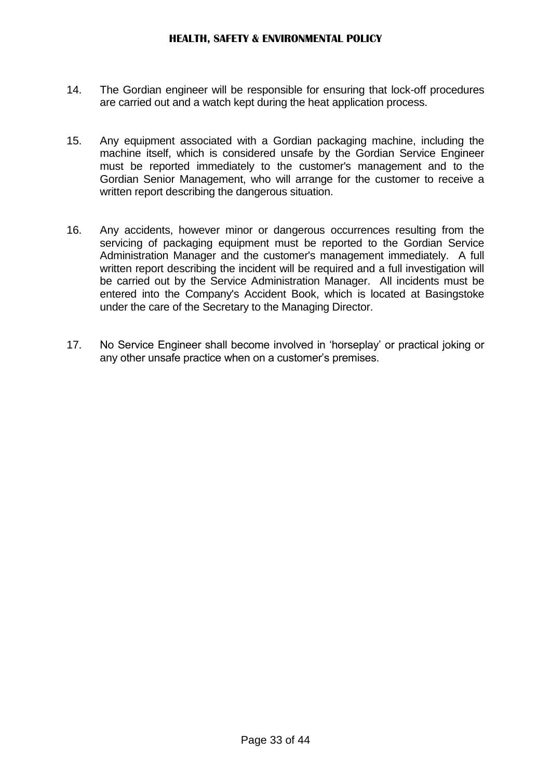- 14. The Gordian engineer will be responsible for ensuring that lock-off procedures are carried out and a watch kept during the heat application process.
- 15. Any equipment associated with a Gordian packaging machine, including the machine itself, which is considered unsafe by the Gordian Service Engineer must be reported immediately to the customer's management and to the Gordian Senior Management, who will arrange for the customer to receive a written report describing the dangerous situation.
- 16. Any accidents, however minor or dangerous occurrences resulting from the servicing of packaging equipment must be reported to the Gordian Service Administration Manager and the customer's management immediately. A full written report describing the incident will be required and a full investigation will be carried out by the Service Administration Manager. All incidents must be entered into the Company's Accident Book, which is located at Basingstoke under the care of the Secretary to the Managing Director.
- 17. No Service Engineer shall become involved in 'horseplay' or practical joking or any other unsafe practice when on a customer's premises.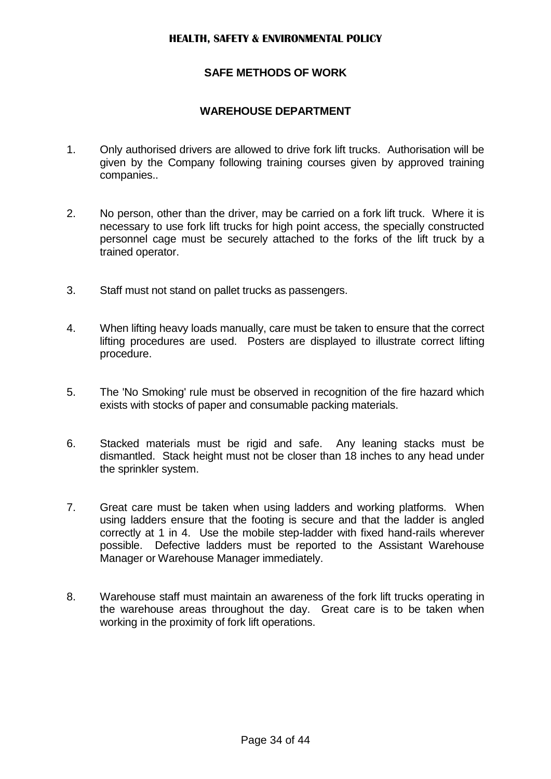# **SAFE METHODS OF WORK**

# **WAREHOUSE DEPARTMENT**

- 1. Only authorised drivers are allowed to drive fork lift trucks. Authorisation will be given by the Company following training courses given by approved training companies..
- 2. No person, other than the driver, may be carried on a fork lift truck. Where it is necessary to use fork lift trucks for high point access, the specially constructed personnel cage must be securely attached to the forks of the lift truck by a trained operator.
- 3. Staff must not stand on pallet trucks as passengers.
- 4. When lifting heavy loads manually, care must be taken to ensure that the correct lifting procedures are used. Posters are displayed to illustrate correct lifting procedure.
- 5. The 'No Smoking' rule must be observed in recognition of the fire hazard which exists with stocks of paper and consumable packing materials.
- 6. Stacked materials must be rigid and safe. Any leaning stacks must be dismantled. Stack height must not be closer than 18 inches to any head under the sprinkler system.
- 7. Great care must be taken when using ladders and working platforms. When using ladders ensure that the footing is secure and that the ladder is angled correctly at 1 in 4. Use the mobile step-ladder with fixed hand-rails wherever possible. Defective ladders must be reported to the Assistant Warehouse Manager or Warehouse Manager immediately.
- 8. Warehouse staff must maintain an awareness of the fork lift trucks operating in the warehouse areas throughout the day. Great care is to be taken when working in the proximity of fork lift operations.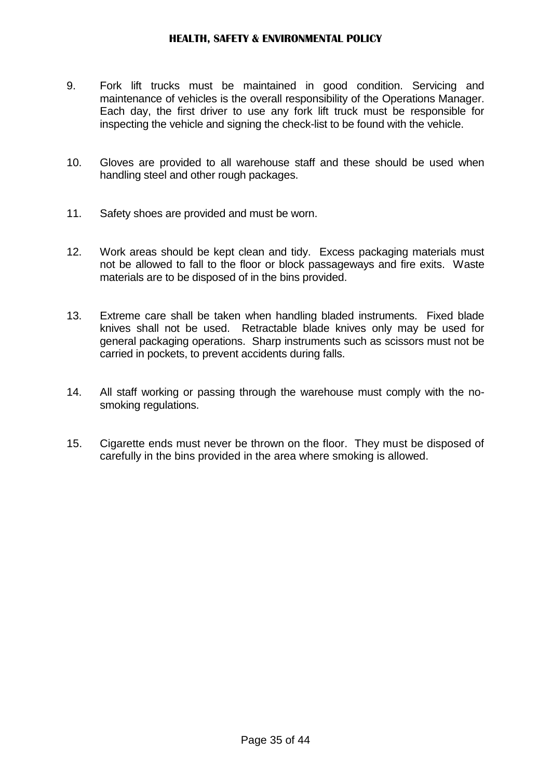- 9. Fork lift trucks must be maintained in good condition. Servicing and maintenance of vehicles is the overall responsibility of the Operations Manager. Each day, the first driver to use any fork lift truck must be responsible for inspecting the vehicle and signing the check-list to be found with the vehicle.
- 10. Gloves are provided to all warehouse staff and these should be used when handling steel and other rough packages.
- 11. Safety shoes are provided and must be worn.
- 12. Work areas should be kept clean and tidy. Excess packaging materials must not be allowed to fall to the floor or block passageways and fire exits. Waste materials are to be disposed of in the bins provided.
- 13. Extreme care shall be taken when handling bladed instruments. Fixed blade knives shall not be used. Retractable blade knives only may be used for general packaging operations. Sharp instruments such as scissors must not be carried in pockets, to prevent accidents during falls.
- 14. All staff working or passing through the warehouse must comply with the nosmoking regulations.
- 15. Cigarette ends must never be thrown on the floor. They must be disposed of carefully in the bins provided in the area where smoking is allowed.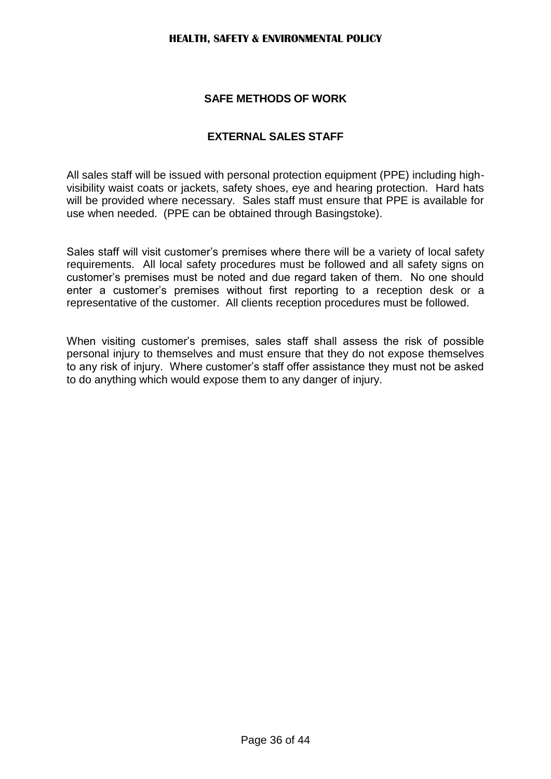# **SAFE METHODS OF WORK**

# **EXTERNAL SALES STAFF**

All sales staff will be issued with personal protection equipment (PPE) including highvisibility waist coats or jackets, safety shoes, eye and hearing protection. Hard hats will be provided where necessary. Sales staff must ensure that PPE is available for use when needed. (PPE can be obtained through Basingstoke).

Sales staff will visit customer's premises where there will be a variety of local safety requirements. All local safety procedures must be followed and all safety signs on customer's premises must be noted and due regard taken of them. No one should enter a customer's premises without first reporting to a reception desk or a representative of the customer. All clients reception procedures must be followed.

When visiting customer's premises, sales staff shall assess the risk of possible personal injury to themselves and must ensure that they do not expose themselves to any risk of injury. Where customer's staff offer assistance they must not be asked to do anything which would expose them to any danger of injury.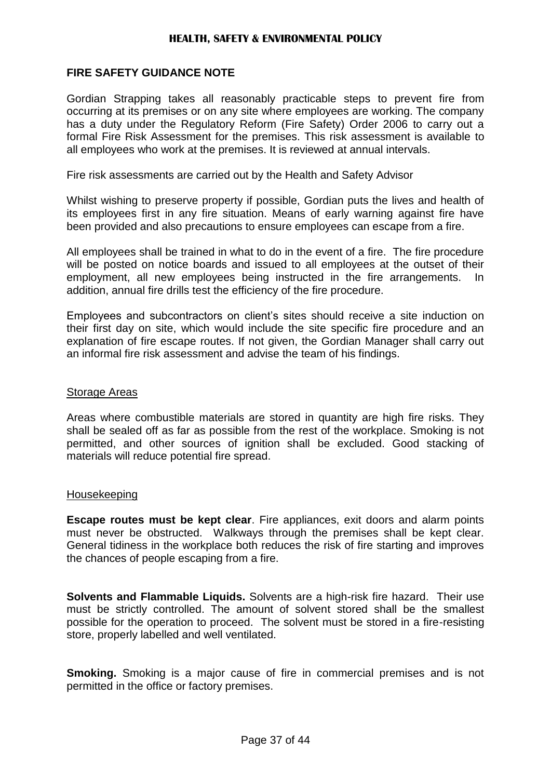#### **FIRE SAFETY GUIDANCE NOTE**

Gordian Strapping takes all reasonably practicable steps to prevent fire from occurring at its premises or on any site where employees are working. The company has a duty under the Regulatory Reform (Fire Safety) Order 2006 to carry out a formal Fire Risk Assessment for the premises. This risk assessment is available to all employees who work at the premises. It is reviewed at annual intervals.

Fire risk assessments are carried out by the Health and Safety Advisor

Whilst wishing to preserve property if possible, Gordian puts the lives and health of its employees first in any fire situation. Means of early warning against fire have been provided and also precautions to ensure employees can escape from a fire.

All employees shall be trained in what to do in the event of a fire. The fire procedure will be posted on notice boards and issued to all employees at the outset of their employment, all new employees being instructed in the fire arrangements. In addition, annual fire drills test the efficiency of the fire procedure.

Employees and subcontractors on client's sites should receive a site induction on their first day on site, which would include the site specific fire procedure and an explanation of fire escape routes. If not given, the Gordian Manager shall carry out an informal fire risk assessment and advise the team of his findings.

#### Storage Areas

Areas where combustible materials are stored in quantity are high fire risks. They shall be sealed off as far as possible from the rest of the workplace. Smoking is not permitted, and other sources of ignition shall be excluded. Good stacking of materials will reduce potential fire spread.

#### Housekeeping

**Escape routes must be kept clear**. Fire appliances, exit doors and alarm points must never be obstructed. Walkways through the premises shall be kept clear. General tidiness in the workplace both reduces the risk of fire starting and improves the chances of people escaping from a fire.

**Solvents and Flammable Liquids.** Solvents are a high-risk fire hazard. Their use must be strictly controlled. The amount of solvent stored shall be the smallest possible for the operation to proceed. The solvent must be stored in a fire-resisting store, properly labelled and well ventilated.

**Smoking.** Smoking is a major cause of fire in commercial premises and is not permitted in the office or factory premises.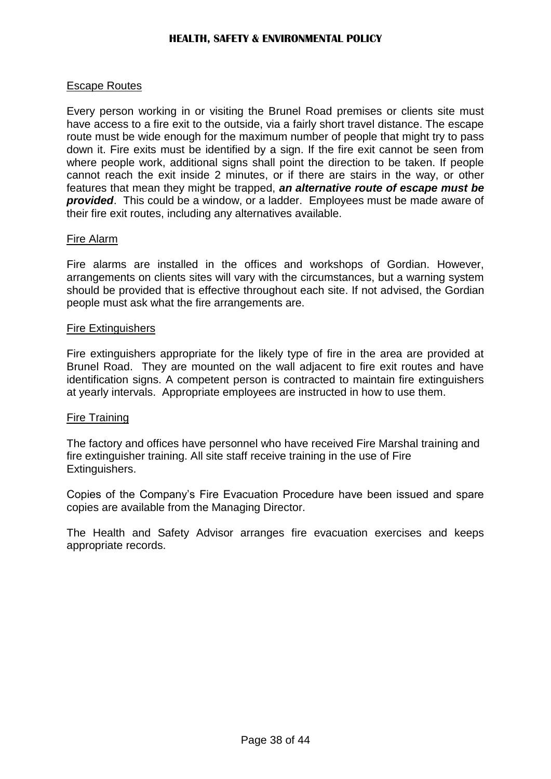#### Escape Routes

Every person working in or visiting the Brunel Road premises or clients site must have access to a fire exit to the outside, via a fairly short travel distance. The escape route must be wide enough for the maximum number of people that might try to pass down it. Fire exits must be identified by a sign. If the fire exit cannot be seen from where people work, additional signs shall point the direction to be taken. If people cannot reach the exit inside 2 minutes, or if there are stairs in the way, or other features that mean they might be trapped, *an alternative route of escape must be provided*. This could be a window, or a ladder. Employees must be made aware of their fire exit routes, including any alternatives available.

#### Fire Alarm

Fire alarms are installed in the offices and workshops of Gordian. However, arrangements on clients sites will vary with the circumstances, but a warning system should be provided that is effective throughout each site. If not advised, the Gordian people must ask what the fire arrangements are.

#### Fire Extinguishers

Fire extinguishers appropriate for the likely type of fire in the area are provided at Brunel Road. They are mounted on the wall adjacent to fire exit routes and have identification signs. A competent person is contracted to maintain fire extinguishers at yearly intervals. Appropriate employees are instructed in how to use them.

#### Fire Training

The factory and offices have personnel who have received Fire Marshal training and fire extinguisher training. All site staff receive training in the use of Fire Extinguishers.

Copies of the Company's Fire Evacuation Procedure have been issued and spare copies are available from the Managing Director.

The Health and Safety Advisor arranges fire evacuation exercises and keeps appropriate records.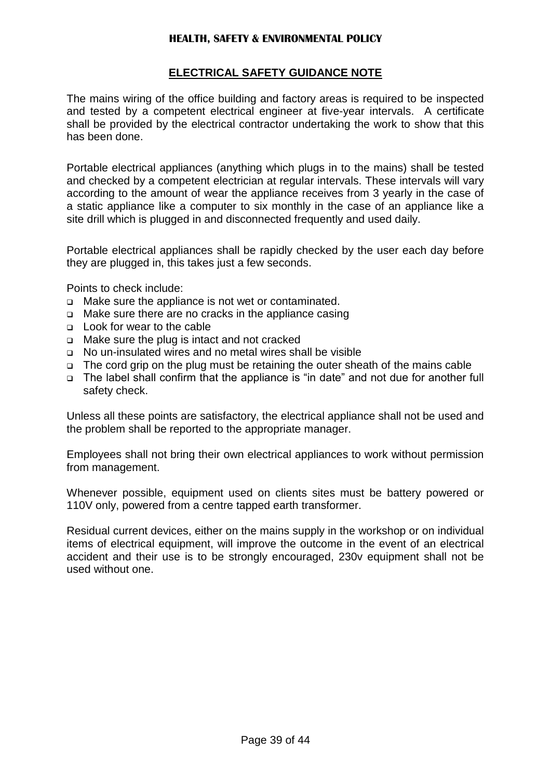# **ELECTRICAL SAFETY GUIDANCE NOTE**

The mains wiring of the office building and factory areas is required to be inspected and tested by a competent electrical engineer at five-year intervals. A certificate shall be provided by the electrical contractor undertaking the work to show that this has been done.

Portable electrical appliances (anything which plugs in to the mains) shall be tested and checked by a competent electrician at regular intervals. These intervals will vary according to the amount of wear the appliance receives from 3 yearly in the case of a static appliance like a computer to six monthly in the case of an appliance like a site drill which is plugged in and disconnected frequently and used daily.

Portable electrical appliances shall be rapidly checked by the user each day before they are plugged in, this takes just a few seconds.

Points to check include:

- □ Make sure the appliance is not wet or contaminated.
- □ Make sure there are no cracks in the appliance casing
- Look for wear to the cable
- Make sure the plug is intact and not cracked
- No un-insulated wires and no metal wires shall be visible
- The cord grip on the plug must be retaining the outer sheath of the mains cable
- The label shall confirm that the appliance is "in date" and not due for another full safety check.

Unless all these points are satisfactory, the electrical appliance shall not be used and the problem shall be reported to the appropriate manager.

Employees shall not bring their own electrical appliances to work without permission from management.

Whenever possible, equipment used on clients sites must be battery powered or 110V only, powered from a centre tapped earth transformer.

Residual current devices, either on the mains supply in the workshop or on individual items of electrical equipment, will improve the outcome in the event of an electrical accident and their use is to be strongly encouraged, 230v equipment shall not be used without one.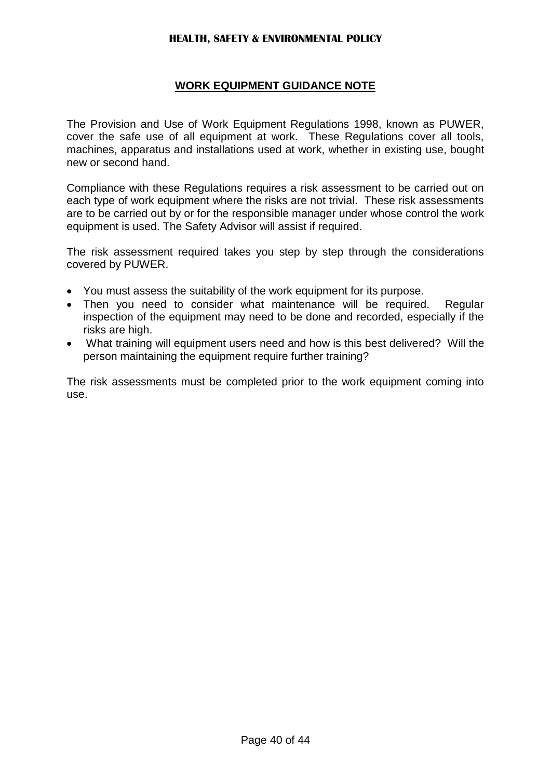# **WORK EQUIPMENT GUIDANCE NOTE**

The Provision and Use of Work Equipment Regulations 1998, known as PUWER, cover the safe use of all equipment at work. These Regulations cover all tools, machines, apparatus and installations used at work, whether in existing use, bought new or second hand.

Compliance with these Regulations requires a risk assessment to be carried out on each type of work equipment where the risks are not trivial. These risk assessments are to be carried out by or for the responsible manager under whose control the work equipment is used. The Safety Advisor will assist if required.

The risk assessment required takes you step by step through the considerations covered by PUWER.

- You must assess the suitability of the work equipment for its purpose.
- Then you need to consider what maintenance will be required. Regular inspection of the equipment may need to be done and recorded, especially if the risks are high.
- What training will equipment users need and how is this best delivered? Will the person maintaining the equipment require further training?

The risk assessments must be completed prior to the work equipment coming into use.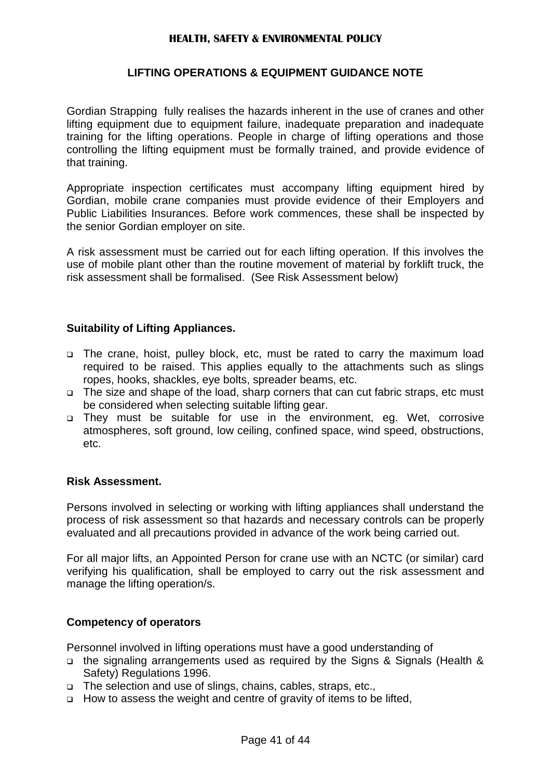#### **LIFTING OPERATIONS & EQUIPMENT GUIDANCE NOTE**

Gordian Strapping fully realises the hazards inherent in the use of cranes and other lifting equipment due to equipment failure, inadequate preparation and inadequate training for the lifting operations. People in charge of lifting operations and those controlling the lifting equipment must be formally trained, and provide evidence of that training.

Appropriate inspection certificates must accompany lifting equipment hired by Gordian, mobile crane companies must provide evidence of their Employers and Public Liabilities Insurances. Before work commences, these shall be inspected by the senior Gordian employer on site.

A risk assessment must be carried out for each lifting operation. If this involves the use of mobile plant other than the routine movement of material by forklift truck, the risk assessment shall be formalised. (See Risk Assessment below)

#### **Suitability of Lifting Appliances.**

- The crane, hoist, pulley block, etc, must be rated to carry the maximum load required to be raised. This applies equally to the attachments such as slings ropes, hooks, shackles, eye bolts, spreader beams, etc.
- The size and shape of the load, sharp corners that can cut fabric straps, etc must be considered when selecting suitable lifting gear.
- They must be suitable for use in the environment, eg. Wet, corrosive atmospheres, soft ground, low ceiling, confined space, wind speed, obstructions, etc.

#### **Risk Assessment.**

Persons involved in selecting or working with lifting appliances shall understand the process of risk assessment so that hazards and necessary controls can be properly evaluated and all precautions provided in advance of the work being carried out.

For all major lifts, an Appointed Person for crane use with an NCTC (or similar) card verifying his qualification, shall be employed to carry out the risk assessment and manage the lifting operation/s.

#### **Competency of operators**

Personnel involved in lifting operations must have a good understanding of

- the signaling arrangements used as required by the Signs & Signals (Health & Safety) Regulations 1996.
- The selection and use of slings, chains, cables, straps, etc.,
- □ How to assess the weight and centre of gravity of items to be lifted,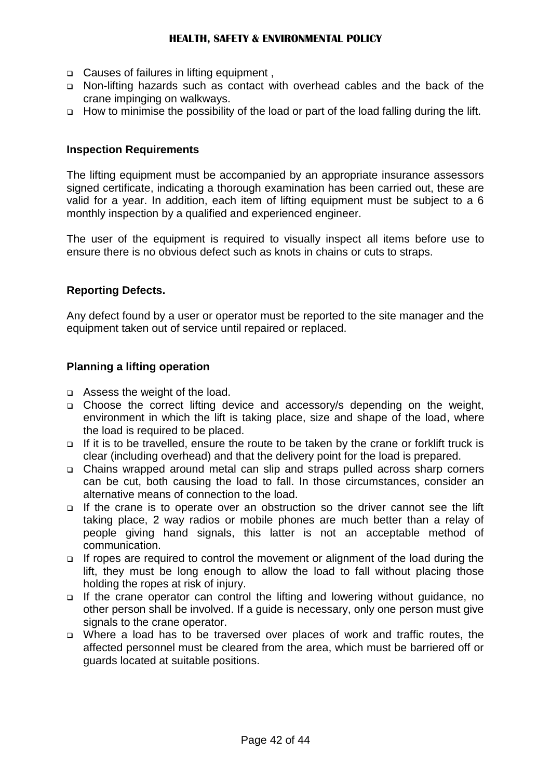- □ Causes of failures in lifting equipment,
- Non-lifting hazards such as contact with overhead cables and the back of the crane impinging on walkways.
- How to minimise the possibility of the load or part of the load falling during the lift.

#### **Inspection Requirements**

The lifting equipment must be accompanied by an appropriate insurance assessors signed certificate, indicating a thorough examination has been carried out, these are valid for a year. In addition, each item of lifting equipment must be subject to a 6 monthly inspection by a qualified and experienced engineer.

The user of the equipment is required to visually inspect all items before use to ensure there is no obvious defect such as knots in chains or cuts to straps.

### **Reporting Defects.**

Any defect found by a user or operator must be reported to the site manager and the equipment taken out of service until repaired or replaced.

#### **Planning a lifting operation**

- Assess the weight of the load.
- Choose the correct lifting device and accessory/s depending on the weight, environment in which the lift is taking place, size and shape of the load, where the load is required to be placed.
- □ If it is to be travelled, ensure the route to be taken by the crane or forklift truck is clear (including overhead) and that the delivery point for the load is prepared.
- Chains wrapped around metal can slip and straps pulled across sharp corners can be cut, both causing the load to fall. In those circumstances, consider an alternative means of connection to the load.
- □ If the crane is to operate over an obstruction so the driver cannot see the lift taking place, 2 way radios or mobile phones are much better than a relay of people giving hand signals, this latter is not an acceptable method of communication.
- If ropes are required to control the movement or alignment of the load during the lift, they must be long enough to allow the load to fall without placing those holding the ropes at risk of injury.
- If the crane operator can control the lifting and lowering without guidance, no other person shall be involved. If a guide is necessary, only one person must give signals to the crane operator.
- Where a load has to be traversed over places of work and traffic routes, the affected personnel must be cleared from the area, which must be barriered off or guards located at suitable positions.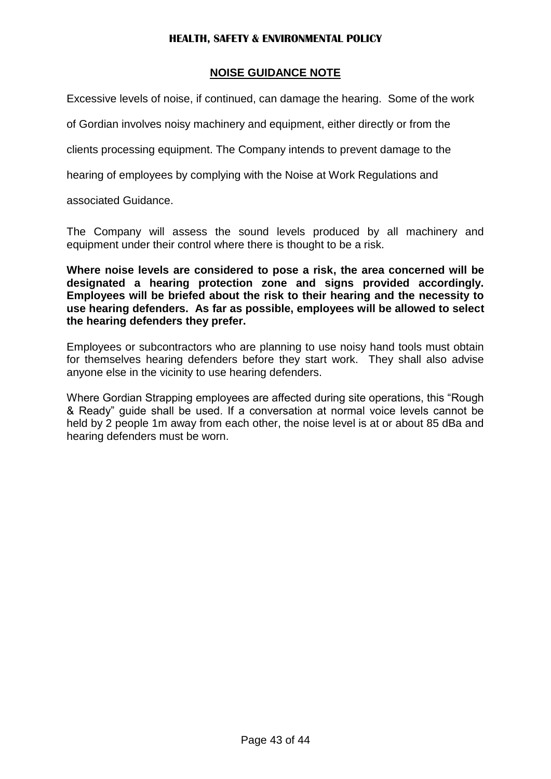# **NOISE GUIDANCE NOTE**

Excessive levels of noise, if continued, can damage the hearing. Some of the work

of Gordian involves noisy machinery and equipment, either directly or from the

clients processing equipment. The Company intends to prevent damage to the

hearing of employees by complying with the Noise at Work Regulations and

associated Guidance.

The Company will assess the sound levels produced by all machinery and equipment under their control where there is thought to be a risk.

**Where noise levels are considered to pose a risk, the area concerned will be designated a hearing protection zone and signs provided accordingly. Employees will be briefed about the risk to their hearing and the necessity to use hearing defenders. As far as possible, employees will be allowed to select the hearing defenders they prefer.** 

Employees or subcontractors who are planning to use noisy hand tools must obtain for themselves hearing defenders before they start work. They shall also advise anyone else in the vicinity to use hearing defenders.

Where Gordian Strapping employees are affected during site operations, this "Rough & Ready" guide shall be used. If a conversation at normal voice levels cannot be held by 2 people 1m away from each other, the noise level is at or about 85 dBa and hearing defenders must be worn.